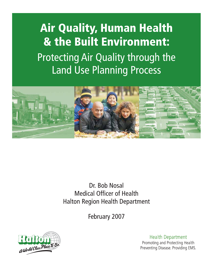# **Air Quality, Human Health** & the Built Environment: Protecting Air Quality through the **Land Use Planning Process**



Dr. Bob Nosal **Medical Officer of Health Halton Region Health Department** 

February 2007



**Health Department** Promoting and Protecting Health Preventing Disease. Providing EMS.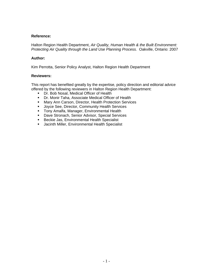#### **Reference:**

Halton Region Health Department, *Air Quality, Human Health & the Built Environment: Protecting Air Quality through the Land Use Planning Process.* Oakville, Ontario: 2007

#### **Author:**

Kim Perrotta, Senior Policy Analyst, Halton Region Health Department

#### **Reviewers:**

This report has benefited greatly by the expertise, policy direction and editorial advice offered by the following reviewers in Halton Region Health Department:

- **Dr. Bob Nosal, Medical Officer of Health**
- **Dr. Monir Taha, Associate Medical Officer of Health**
- **Mary Ann Carson, Director, Health Protection Services**
- **Joyce See, Director, Community Health Services**
- **Tony Amalfa, Manager, Environmental Health**
- **-** Dave Stronach, Senior Advisor, Special Services
- **Beckie Jas, Environmental Health Specialist**
- **Jacinth Miller, Environmental Health Specialist**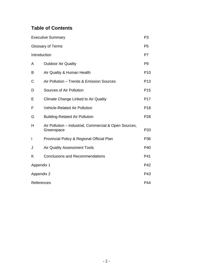# **Table of Contents**

| <b>Executive Summary</b> |                                                                      |                 |  |
|--------------------------|----------------------------------------------------------------------|-----------------|--|
|                          | <b>Glossary of Terms</b>                                             | P <sub>5</sub>  |  |
| Introduction             |                                                                      | P7              |  |
| A                        | <b>Outdoor Air Quality</b>                                           | P <sub>9</sub>  |  |
| B                        | Air Quality & Human Health                                           | P <sub>10</sub> |  |
| C                        | Air Pollution - Trends & Emission Sources                            | P <sub>13</sub> |  |
| D                        | Sources of Air Pollution                                             | P <sub>15</sub> |  |
| Ε                        | Climate Change Linked to Air Quality                                 | P <sub>17</sub> |  |
| F                        | <b>Vehicle-Related Air Pollution</b>                                 | P <sub>18</sub> |  |
| G                        | <b>Building-Related Air Pollution</b>                                | P <sub>28</sub> |  |
| н                        | Air Pollution - Industrial, Commercial & Open Sources,<br>Greenspace | P33             |  |
| I                        | Provincial Policy & Regional Official Plan                           | P36             |  |
| J                        | <b>Air Quality Assessment Tools</b>                                  | P40             |  |
| K                        | <b>Conclusions and Recommendations</b>                               | P41             |  |
| Appendix 1               |                                                                      | P42             |  |
| Appendix 2               |                                                                      | P43             |  |
| References               |                                                                      | P44             |  |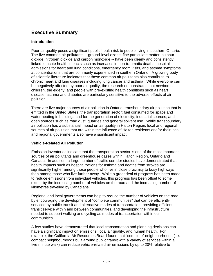## **Executive Summary**

#### **Introduction**

Poor air quality poses a significant public health risk to people living in southern Ontario. The five common air pollutants -- ground-level ozone, fine particulate matter, sulphur dioxide, nitrogen dioxide and carbon monoxide -- have been clearly and consistently linked to acute health impacts such as increases in non-traumatic deaths, hospital admissions for heart and lung conditions, emergency room visits, and asthma symptoms at concentrations that are commonly experienced in southern Ontario. A growing body of scientific literature indicates that these common air pollutants also contribute to chronic heart and lung diseases including lung cancer and asthma. While everyone can be negatively affected by poor air quality, the research demonstrates that newborns, children, the elderly, and people with pre-existing health conditions such as heart disease, asthma and diabetes are particularly sensitive to the adverse effects of air pollution.

There are five major sources of air pollution in Ontario: transboundary air pollution that is emitted in the United States; the transportation sector; fuel consumed for space and water heating in buildings and for the generation of electricity; industrial sources; and open sources such as road dust, quarries and general solvent use. While transboundary air pollution has a substantial impact on air quality in Halton Region, local and regional sources of air pollution that are within the influence of Halton residents and/or their local and regional governments also have a significant impact.

#### **Vehicle-Related Air Pollution**

Emission inventories indicate that the transportation sector is one of the most important sources of air pollutants and greenhouse gases within Halton Region, Ontario and Canada. In addition, a large number of traffic corridor studies have demonstrated that health impacts such as hospitalizations for asthma and deaths from strokes are significantly higher among those people who live in close proximity to busy highways than among those who live further away. While a great deal of progress has been made to reduce emissions from individual vehicles, this progress has been offset to some extent by the increasing number of vehicles on the road and the increasing number of kilometres travelled by Canadians.

Regional and local governments can help to reduce the number of vehicles on the road by encouraging the development of "complete communities" that can be efficiently serviced by public transit and alternative modes of transportation, providing efficient transit service within and between communities, and developing the infrastructure needed to support walking and cycling as modes of transportation within our communities.

A few studies have demonstrated that local transportation and planning decisions can have a significant impact on emissions, local air quality, and human health. For example, the California Air Resources Board found that "complete" neighbourhoods (i.e. compact neighbourhoods built around public transit with a variety of services within a five minute walk) can reduce vehicle-related air emissions by up to 20% relative to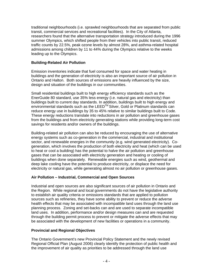traditional neighbourhoods (i.e. sprawled neighbourhoods that are separated from public transit, commercial services and recreational facilities). In the City of Atlanta, researchers found that the alternative transportation strategy introduced during the 1996 summer Olympics, which shifted people from their vehicles into public transit, reduced traffic counts by 22.5%, peak ozone levels by almost 28%, and asthma-related hospital admissions among children by 11 to 44% during the Olympics relative to the weeks leading up to the Olympics.

#### **Building-Related Air Pollution**

Emission inventories indicate that fuel consumed for space and water heating in buildings and the generation of electricity is also an important source of air pollution in Ontario and Halton. Both sources of emissions are heavily influenced by the size, design and situation of the buildings in our communities.

Small residential buildings built to high energy efficiency standards such as the EnerGuide 80 standard, use 35% less energy (i.e. natural gas and electricity) than buildings built to current day standards. In addition, buildings built to high energy and environmental standards such as the LEED™ Silver, Gold or Platinum standards can reduce energy use in buildings by 35 to 45% relative to similar buildings built to Code. These energy reductions translate into reductions in air pollution and greenhouse gases from the buildings and from electricity generating stations while providing long-term cost savings for residents and/or owners of the buildings.

Building-related air pollution can also be reduced by encouraging the use of alternative energy systems such as co-generation in the commercial, industrial and institutional sector, and renewable energies in the community (e.g. wind generated electricity). Cogeneration, which involves the production of both electricity and heat (which can be used to heat or cool a building) has the potential to halve the air pollution and greenhouse gases that can be associated with electricity generation and heating or cooling of buildings when done separately. Renewable energies such as wind, geothermal and deep lake cooling have the potential to produce electricity, or displace the need for electricity or natural gas, while generating almost no air pollution or greenhouse gases.

#### **Air Pollution – Industrial, Commercial and Open Sources**

Industrial and open sources are also significant sources of air pollution in Ontario and the Region. While regional and local governments do not have the legislative authority to establish air quality criteria or emissions standards that are applied to pollution sources such as refineries, they have some ability to prevent or reduce the adverse health effects that may be associated with incompatible land uses through the land use planning process. Zoning and set-backs can and are used to separate incompatible land uses. In addition, performance and/or design measures can and are requested through the building permit process to prevent or mitigate the adverse effects that may be associated with the development of new facilities or operations in a community.

#### **Provincial and Regional Objectives**

The Ontario Government's new Provincial Policy Statement and the newly revised Regional Official Plan (August 2006) clearly identify the protection of public health and the improvement of air quality as priorities to be addressed through the land use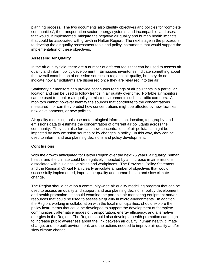planning process. The two documents also identify objectives and policies for "complete communities", the transportation sector, energy systems, and incompatible land uses, that would, if implemented, mitigate the negative air quality and human health impacts that could be associated with growth in Halton Region. The next stage in the process is to develop the air quality assessment tools and policy instruments that would support the implementation of these objectives.

#### **Assessing Air Quality**

In the air quality field, there are a number of different tools that can be used to assess air quality and inform policy development. Emissions inventories indicate something about the overall contribution of emission sources to regional air quality, but they do not indicate how air pollutants are dispersed once they are released into the air.

Stationary air monitors can provide continuous readings of air pollutants in a particular location and can be used to follow trends in air quality over time. Portable air monitors can be used to monitor air quality in micro-environments such as traffic corridors. Air monitors cannot however identify the sources that contribute to the concentrations measured, nor can they predict how concentrations might be affected by new facilities, new developments, or new policies.

Air quality modelling tools use meteorological information, location, topography, and emissions data to estimate the concentration of different air pollutants across the community. They can also forecast how concentrations of air pollutants might be impacted by new emission sources or by changes in policy. In this way, they can be used to inform land use planning decisions and policy development.

#### **Conclusions**

With the growth anticipated for Halton Region over the next 25 years, air quality, human health, and the climate could be negatively impacted by an increase in air emissions associated with buildings, vehicles and workplaces. The Provincial Policy Statement and the Regional Official Plan clearly articulate a number of objectives that would, if successfully implemented, improve air quality and human health and slow climate change.

The Region should develop a community-wide air quality modelling program that can be used to assess air quality and support land use planning decisions, policy development, and health promotion. It should examine the portable air monitoring equipment and/or resources that could be used to assess air quality in micro-environments.In addition, the Region, working in collaboration with the local municipalities, should explore the policy instruments that could be developed to support the development of "complete communities", alternative modes of transportation, energy efficiency, and alternative energies in the Region. The Region should also develop a health promotion campaign to increase public awareness about the link between air quality, human health, climate change, and the built environment, and the actions needed to improve air quality and/or slow climate change.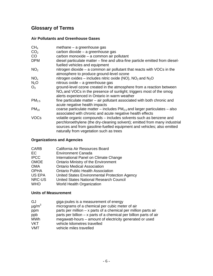# **Glossary of Terms**

## **Air Pollutants and Greenhouse Gases**

| methane - a greenhouse gas                                                                                                                                                                                                                                            |
|-----------------------------------------------------------------------------------------------------------------------------------------------------------------------------------------------------------------------------------------------------------------------|
| carbon dioxide - a greenhouse gas                                                                                                                                                                                                                                     |
| carbon monoxide - a common air pollutant                                                                                                                                                                                                                              |
| diesel particulate matter – fine and ultra-fine particle emitted from diesel-<br>fuelled vehicles and equipment                                                                                                                                                       |
| nitrogen dioxide – a common air pollutant that reacts with VOCs in the<br>atmosphere to produce ground-level ozone                                                                                                                                                    |
| nitrogen oxides – includes nitric oxide (NO), $NO2$ and $N2O$                                                                                                                                                                                                         |
| nitrous oxide - a greenhouse gas                                                                                                                                                                                                                                      |
| ground-level ozone created in the atmosphere from a reaction between<br>NO <sub>x</sub> and VOCs in the presence of sunlight; triggers most of the smog                                                                                                               |
| alerts experienced in Ontario in warm weather                                                                                                                                                                                                                         |
| fine particulate matter - air pollutant associated with both chronic and<br>acute negative health impacts                                                                                                                                                             |
| coarse particulate matter – includes $PM2.5$ and larger particulates – also<br>associated with chronic and acute negative health effects                                                                                                                              |
| volatile organic compounds - includes solvents such as benzene and<br>perchloroethylene (the dry-cleaning solvent); emitted from many industrial<br>sources and from gasoline-fuelled equipment and vehicles; also emitted<br>naturally from vegetation such as trees |
|                                                                                                                                                                                                                                                                       |

# **Organizations and Agencies**

| CARB        | California Air Resources Board                |
|-------------|-----------------------------------------------|
| EС          | <b>Environment Canada</b>                     |
| <b>IPCC</b> | International Panel on Climate Change         |
| <b>OMOE</b> | Ontario Ministry of the Environment           |
| <b>OMA</b>  | <b>Ontario Medical Association</b>            |
| OPHA        | <b>Ontario Public Health Association</b>      |
| US EPA      | United States Environmental Protection Agency |
| NRC-US      | United States National Research Council       |
| <b>WHO</b>  | <b>World Health Organization</b>              |

## **Units of Measurement**

| GJ                     | giga-joules is a measurement of energy                               |
|------------------------|----------------------------------------------------------------------|
| $\mu$ g/m <sup>3</sup> | micrograms of a chemical per cubic meter of air                      |
| ppm                    | parts per million $- x$ parts of a chemical per million parts air    |
| ppb                    | parts per billion $- x$ parts of a chemical per billion parts of air |
| <b>MWh</b>             | megawatt-hours – amount of electricity generated or used             |
| VKT                    | vehicle kilometres travelled                                         |
| <b>VMT</b>             | vehicle miles travelled                                              |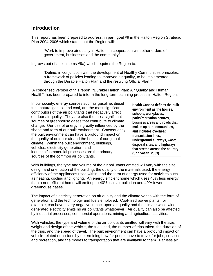## **Introduction**

This report has been prepared to address, in part, goal #9 in the Halton Region Strategic Plan 2004-2006 which states that the Region will:

"Work to improve air quality in Halton, in cooperation with other orders of government, businesses and the community".

It grows out of action items #9a) which requires the Region to:

"Define, in conjunction with the development of Healthy Communities principles, a framework of policies leading to improved air quality, to be implemented through the Durable Halton Plan and the resulting Official Plan."

 A condensed version of this report, "Durable Halton Plan: Air Quality and Human Health", has been prepared to inform the long-term planning process in Halton Region.

In our society, energy sources such as gasoline, diesel fuel, natural gas, oil and coal, are the most significant contributors of the air pollutants that negatively affect outdoor air quality. They are also the most significant sources of greenhouse gases that contribute to climate change. Our use of energy is greatly influenced by the shape and form of our built environment. Consequently, the built environment can have a profound impact on the quality of outdoor air and the health of our global climate. Within the built environment, buildings, vehicles, electricity generation, and industrial/commercial processes are the primary sources of the common air pollutants.

**Health Canada defines the built environment as the homes, schools, workplaces, parks/recreation centres, business areas and roads that makes up our communities, and includes overhead transmission lines, underground subways, waste disposal sites, and highways that stretch across the country (Srinivasan, 2003).** 

With buildings, the type and volume of the air pollutants emitted will vary with the size, design and orientation of the building, the quality of the materials used, the energy efficiency of the appliances used within, and the form of energy used for activities such as heating, cooling and lighting. An energy efficient home which uses 40% less energy than a non-efficient home will emit up to 40% less air pollution and 40% fewer greenhouse gases.

The impact of electricity generation on air quality and the climate varies with the form of generation and the technology and fuels employed. Coal-fired power plants, for example, can have a very negative impact upon air quality and the climate while windgenerated electricity emits no air pollutants whatsoever. Air quality can also be affected by industrial processes, commercial operations, mining and agricultural activities.

With vehicles, the type and volume of the air pollutants emitted will vary with the size, weight and design of the vehicle, the fuel used, the number of trips taken, the duration of the trips, and the speed of travel. The built environment can have a profound impact on vehicle-related emissions by determining how far people have to travel for jobs, services and recreation, and the modes to transportation that are available to them. Far less air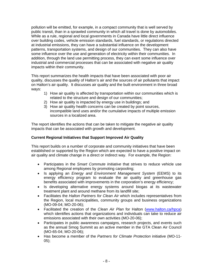pollution will be emitted, for example, in a compact community that is well served by public transit, than in a sprawled community in which all travel is done by automobiles. While as a rule, regional and local governments in Canada have little direct influence over building codes, vehicle emission standards, fuel standards, or regulations directed at industrial emissions, they can have a substantial influence on the development patterns, transportation systems, and design of our communities. They can also have some influence over the use and generation of electricity within their communities. In addition, through the land use permitting process, they can exert some influence over industrial and commercial processes that can be associated with negative air quality impacts within their community.

This report summarizes the health impacts that have been associated with poor air quality, discusses the quality of Halton's air and the sources of air pollutants that impact on Halton's air quality. It discusses air quality and the built environment in three broad ways:

- 1) How air quality is affected by transportation within our communities which is related to the structure and design of our communities;
- 2) How air quality is impacted by energy use in buildings; and
- 3) How air quality health concerns can be created by point sources, incompatible land uses and/or the cumulative impacts of multiple emission sources in a localized area.

The report identifies the actions that can be taken to mitigate the negative air quality impacts that can be associated with growth and development.

#### **Current Regional Initiatives that Support Improved Air Quality**

This report builds on a number of corporate and community initiatives that have been established or supported by the Region which are expected to have a positive impact on air quality and climate change in a direct or indirect way. For example, the Region:

- Participates in the *Smart Commute Initiative* that strives to reduce vehicle use among Regional employees by promoting carpooling;
- Is applying an *Energy and Environment Management System* (EEMS) to its energy efficiency program to evaluate the air quality and greenhouse gas benefits associated with improvements in the corporation's energy efficiency;
- Is developing alternative energy systems around biogas at its wastewater treatment plant and around methane from its landfill site;
- Facilitates the *Halton Partners for Clean Air* which includes representatives from the Region, local municipalities, community groups and business organizations (MO-09-04; MO-20-06);
- Facilitated the creation of the *Clean Air Plan* for Halton (www.halton.ca/hpca) which identifies actions that organizations and individuals can take to reduce air emissions associated with their own activities (MO-20-06);
- Participates in public awareness campaigns, research projects, and events such as the annual Smog Summit as an active member in the GTA Clean Air Council (MO-65-04; MO-20-06);
- Has become a member of the *Partners for Climate Protection* initiative (MO-11- 05);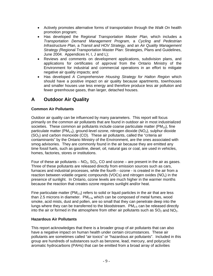- Actively promotes alternative forms of transportation through the *Walk On* health promotion program;
- Has developed the R*egional Transportation Master Plan,* which includes a *Transportation Demand Management Program,* a *Cycling and Pedestrian Infrastructure Plan,* a *Transit and HOV Strategy,* and an *Air Quality Management Strategy (*Regional Transportation Master Plan: Strategies, Plans and Guidelines, June 2004. Appendices H, I, J and L);
- Reviews and comments on development applications, subdivision plans, and applications for certificates of approval from the Ontario Ministry of the Environment for industrial and commercial operations in an effort to mitigate negative air quality impacts; and
- Has developed *A Comprehensive Housing Strategy for Halton Region* which should have a positive impact on air quality because apartments, townhouses and smaller houses use less energy and therefore produce less air pollution and fewer greenhouse gases, than larger, detached houses.

# **A Outdoor Air Quality**

#### **Common Air Pollutants**

Outdoor air quality can be influenced by many parameters. This report will focus primarily on the common air pollutants that are found in outdoor air in most industrialized societies. These common air pollutants include coarse particulate matter ( $PM_{10}$ ), fine particulate matter (PM<sub>2.5</sub>), ground-level ozone, nitrogen dioxide (NO<sub>2</sub>), sulphur dioxide  $(SO<sub>2</sub>)$  and carbon monoxide  $(CO)$ . These air pollutants, called the "criteria air contaminants" by the Ontario Ministry of the Environment, are the ones associated with smog advisories. They are commonly found in the air because they are emitted any time fossil fuels, such as gasoline, diesel, oil, natural gas or coal, are used in vehicles, homes, factories, stores or institutions.

Four of these air pollutants  $- NO_2$ ,  $SO_2$ ,  $CO$  and ozone  $-$  are present in the air as gases. Three of these pollutants are released directly from emission sources such as cars, furnaces and industrial processes, while the fourth - ozone - is created in the air from a reaction between volatile organic compounds (VOCs) and nitrogen oxides  $(NO<sub>x</sub>)$  in the presence of sunlight. In Ontario, ozone levels are much higher in the warmer months because the reaction that creates ozone requires sunlight and/or heat.

Fine particulate matter ( $PM<sub>2.5</sub>$ ) refers to solid or liquid particles in the air that are less than 2.5 microns in diameter. PM2.5**,** which can be composed of metal fumes, wood smoke, acid mists, dust and pollen, are so small that they can penetrate deep into the lungs where they can be transferred to the bloodstream.  $PM_{2.5}$  can be released directly into the air or formed in the atmosphere from other air pollutants such as  $SO<sub>2</sub>$  and  $NO<sub>2</sub>$ .

#### **Hazardous Air Pollutants**

This report acknowledges that there is a broader group of air pollutants that can also have a negative impact on human health under certain circumstances. These air pollutants are sometimes called "air toxics" or "hazardous air pollutants". Included in this group are hundreds of substances such as benzene, lead, mercury, and polycyclic aromatic hydrocarbons (PAHs) that can be emitted from a broad array of activities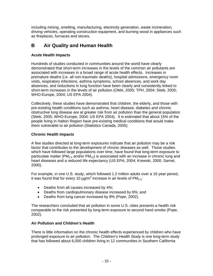including mining, smelting, manufacturing, electricity generation, waste incineration, driving vehicles, operating construction equipment, and burning wood in appliances such as fireplaces, furnaces and stoves.

## **B Air Quality and Human Health**

#### **Acute Health Impacts**

Hundreds of studies conducted in communities around the world have clearly demonstrated that short-term increases in the levels of the common air pollutants are associated with increases in a broad range of acute health effects. Increases in premature deaths (i.e. all non-traumatic deaths), hospital admissions, emergency room visits, respiratory infections, asthma symptoms, school absences, and work day absences, and reductions in lung function have been clearly and consistently linked to short-term increases in the levels of air pollution (OMA, 2005; TPH, 2004; Stieb, 2005; WHO-Europe, 2004; US EPA 2004).

Collectively, these studies have demonstrated that children, the elderly, and those with pre-existing health conditions such as asthma, heart disease, diabetes and chronic obstructive lung disease are at greater risk from air pollution than the general population (Stieb, 2005; WHO-Europe, 2004; US EPA 2004). It is estimated that about 15% of the people living in Halton Region have pre-existing medical conditions that would make them vulnerable to air pollution (Statistics Canada, 2005).

#### **Chronic Health Impacts**

A few studies directed at long-term exposures indicate that air pollution may be a risk factor that contributes to the development of chronic diseases as well. Those studies which have followed large populations over time, have found that long-term exposure to particulate matter ( $PM<sub>2.5</sub>$  and/or  $PM<sub>10</sub>$ ) is associated with an increase in chronic lung and heart diseases and a reduced life expectancy (US EPA, 2004; Krewski, 2000; Samet, 2000).

For example, in one U.S. study, which followed 1.2 million adults over a 16 year period, it was found that for every 10  $\mu$ g/m<sup>3</sup> increase in air levels of PM<sub>2.5</sub>:

- Deaths from all causes increased by 4%;
- Deaths from cardiopulmonary disease increased by 6%; and
- Deaths from lung cancer increased by 8% (Pope, 2002).

The researchers concluded that air pollution in some U.S. cities presents a health risk comparable to the risk presented by long-term exposure to second hand smoke (Pope, 2002).

#### **Air Pollution and Children's Health**

There is little information on the chronic health effects experienced by children who have prolonged exposure to air pollution. The Children's Health Study is one long-term study that has followed about 6,000 children living in 12 communities in Southern California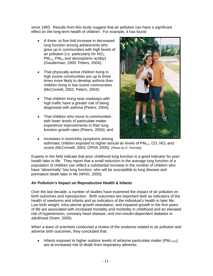since 1993. Results from this study suggest that air pollution can have a significant effect on the long-term health of children. For example, it has found:

- A three- to five-fold increase in decreased lung function among adolescents who grew up in communities with high levels of air pollution (i.e. particularly for  $NO<sub>2</sub>$ ,  $PM<sub>2.5</sub>$ , PM<sub>10</sub> and atmospheric acidity) (Gauderman, 2000; Peters, 2004);
- That physically active children living in high ozone communities are up to three times more likely to develop asthma than children living in low ozone communities (McConnell, 2002; Peters, 2004);
- That children living near roadways with high traffic have a greater risk of being diagnosed with asthma (Peters, 2004);
- That children who move to communities with lower levels of particulate matter experience improvements in their lung function growth rates (Peters, 2004); and



• Increases in bronchitis symptoms among asthmatic children exposed to higher annual air levels of  $PM<sub>2.5</sub>$ , CO, NO<sub>2</sub> and ozone (McConnell, 2003; OPHA 2005). (*Photo by K. Perrotta)*

Experts in the field indicate that poor childhood lung function is a good indicator for poor health later in life. They report that a small reduction in the average lung function of a population of children can reflect a substantial increase in the number of children who have "abnormally" low lung function, who will be susceptible to lung disease and premature death later in life (WHO, 2005).

#### **Air Pollution's Impact on Reproductive Health & Infants**

Over the last decade, a number of studies have examined the impact of air pollution on birth outcomes and reproduction. Birth outcomes are important both as indicators of the health of newborns and infants and as indicators of the individual's health in later life. Low birth weight, intra-uterine growth retardation, and impaired growth in the first years of life are associated with increased mortality and morbidity in childhood and an elevated risk of hypertension, coronary heart disease, and non-insulin-dependent diabetes in adulthood (Sram, 2005).

When a team of scientists conducted a review of the evidence related to air pollution and adverse birth outcomes, they concluded that:

• Infants exposed to higher outdoor levels of airborne particulate matter  $(PM_{2.5/10})$ are at increased risk of death from respiratory ailments;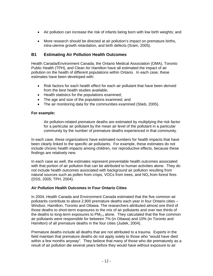- Air pollution can increase the risk of infants being born with low birth weights; and
- More research should be directed at air pollution's impact on premature births, intra-uterine growth retardation, and birth defects (Sram, 2005).

#### **B1 Estimating Air Pollution Health Outcomes**

Health Canada/Environment Canada, the Ontario Medical Association (OMA), Toronto Public Health (TPH), and Clean Air Hamilton have all estimated the impact of air pollution on the health of different populations within Ontario. In each case, these estimates have been developed with:

- Risk factors for each health effect for each air pollutant that have been derived from the best health studies available;
- Health statistics for the populations examined;
- The age and size of the populations examined; and
- The air monitoring data for the communities examined (Stieb, 2005).

#### **For example:**

Air pollution-related premature deaths are estimated by multiplying the risk factor for a particular air pollutant by the mean air level of the pollutant in a particular community by the number of premature deaths experienced in that community.

In each case, these organizations have estimated numbers for health impacts that have been clearly linked to the specific air pollutants. For example, these estimates do not include chronic health impacts among children, nor reproductive effects, because these findings are relatively new.

In each case as well, the estimates represent preventable health outcomes associated with that portion of air pollution that can be attributed to human activities alone. They do not include health outcomes associated with background air pollution resulting from natural sources such as pollen from crops, VOCs from trees, and  $NO<sub>x</sub>$  from forest fires (DSS, 2005; TPH, 2004).

#### **Air Pollution Health Outcomes in Four Ontario Cities**

In 2004, Health Canada and Environment Canada estimated that the five common air pollutants contribute to about 2,900 premature deaths each year in four Ontario cities – Windsor, Hamilton, Toronto and Ottawa. The researchers attributed almost one third of those deaths to short-term exposures to the mix of air pollutants and over two thirds of the deaths to long-term exposures to  $PM_{2.5}$  alone. They calculated that the five common air pollutants were responsible for between 7% (in Ottawa) and 10% (in Toronto and Hamilton) of all premature deaths in the four cities (Judek, 2004).

Premature deaths include all deaths that are not attributed to a trauma. Experts in the field maintain that premature deaths do not apply solely to those who "would have died within a few months anyway". They believe that many of those who die prematurely as a result of air pollution die several years before they would have without exposure to air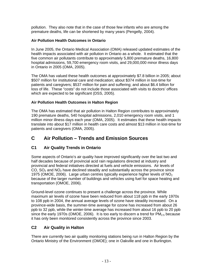pollution. They also note that in the case of those few infants who are among the premature deaths, life can be shortened by many years (Pengelly, 2004).

#### **Air Pollution Health Outcomes in Ontario**

In June 2005, the Ontario Medical Association (OMA) released updated estimates of the health impacts associated with air pollution in Ontario as a whole. It estimated that the five common air pollutants contribute to approximately 5,800 premature deaths, 16,800 hospital admissions, 59,700 emergency room visits, and 29,000,000 minor illness days in Ontario in 2005 (OMA, 2005).

The OMA has valued these health outcomes at approximately \$7.8 billion in 2005; about \$507 million for institutional care and medication; about \$374 million in lost-time for patients and caregivers; \$537 million for pain and suffering; and about \$6.4 billion for loss of life. These "costs" do not include those associated with visits to doctors' offices which are expected to be significant (DSS, 2005).

#### **Air Pollution Health Outcomes in Halton Region**

The OMA has estimated that air pollution in Halton Region contributes to approximately 190 premature deaths, 540 hospital admissions, 2,010 emergency room visits, and 1 million minor illness days each year (OMA, 2005). It estimates that these health impacts translate into about \$17 million in health care costs and almost \$13 million in lost-time for patients and caregivers (OMA, 2005).

## **C Air Pollution – Trends and Emission Sources**

## **C1 Air Quality Trends in Ontario**

Some aspects of Ontario's air quality have improved significantly over the last two and half decades because of provincial acid rain regulations directed at industry and provincial and federal initiatives directed at fuels and vehicle emissions. Air levels of CO,  $SO<sub>2</sub>$  and NO<sub>2</sub> have declined steadily and substantially across the province since 1975 (OMOE, 2006). Large urban centres typically experience higher levels of  $NO<sub>2</sub>$ because of the larger number of buildings and vehicles using fuel for space heating and transportation (OMOE, 2006).

Ground-level ozone continues to present a challenge across the province. While maximum air levels of ozone have been reduced from about 118 ppb in the early 1970s to 108 ppb in 2004, the annual average levels of ozone have steadily increased. On a province-wide basis, the summer-time average for ozone has increased from about 26 ppb to 32 ppb, while the winter-time average has increased from about 16 ppb to 20 ppb since the early 1970s (OMOE, 2006). It is too early to discern a trend for  $PM_{2.5}$  because it has only been monitored consistently across the province since 2003.

#### **C2 Air Quality in Halton**

There are currently two air quality monitoring stations being run in Halton Region by the Ontario Ministry of the Environment (OMOE); one in Oakville and one in Burlington.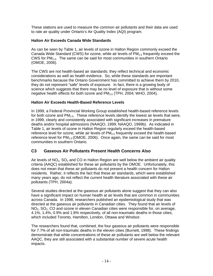These stations are used to measure the common air pollutants and their data are used to rate air quality under Ontario's Air Quality Index (AQI) program.

#### **Halton Air Exceeds Canada Wide Standards**

As can be seen by Table 1, air levels of ozone in Halton Region commonly exceed the Canada Wide Standard (CWS) for ozone, while air levels of  $PM<sub>2.5</sub>$  frequently exceed the CWS for  $PM<sub>2.5</sub>$ . The same can be said for most communities in southern Ontario (OMOE, 2006).

The CWS are not health-based air standards; they reflect technical and economic considerations as well as health evidence. So, while these standards are important benchmarks because the Ontario Government has committed to achieve them by 2010, they do not represent "safe" levels of exposure. In fact, there is a growing body of science which suggests that there may be no level of exposure that is without some negative health effects for both ozone and  $PM<sub>2.5</sub>$  (TPH, 2004; WHO, 2004).

#### **Halton Air Exceeds Health-Based Reference Levels**

In 1999, a Federal Provincial Working Group established health-based reference levels for both ozone and  $PM_{2.5}$ . These reference levels identify the lowest air levels that were, in 1999, clearly and consistently associated with significant increases in premature deaths and/or hospital admissions (NAAQO, 1999; NAAQO, 1999b). As indicated in Table 1, air levels of ozone in Halton Region regularly exceed the health-based reference level for ozone, while air levels of  $PM<sub>2.5</sub>$  frequently exceed the health-based reference level for  $PM_{2.5}$  (OMOE, 2006). Once again, the same can be said for most communities in southern Ontario.

## **C3 Gaseous Air Pollutants Present Health Concerns Also**

Air levels of  $NO<sub>2</sub>$ , SO<sub>2</sub> and CO in Halton Region are well below the ambient air quality criteria (AAQC) established for these air pollutants by the OMOE. Unfortunately, this does not mean that these air pollutants do not present a health concern for Halton residents. Rather, it reflects the fact that these air standards, which were established many years ago, do not reflect the current health literature associated with these air pollutants (TPH, 2004a).

Several studies directed at the gaseous air pollutants alone suggest that they can also have a significant impact on human health at air levels that are common in communities across Canada. In 1998, researchers published an epidemiological study that was directed at the gaseous air pollutants in Canadian cities. They found that air levels of  $NO<sub>2</sub>$ , SO<sub>2</sub>, CO and ozone in eleven Canadian cities were responsible for, on average, 4.1%, 1.4%, 0.9% and 1.8% respectively, of all non-traumatic deaths in those cities, which included Toronto, Hamilton, London, Ottawa and Windsor.

The researchers found that, combined, the four gaseous air pollutants were responsible for 7.7% of all non-traumatic deaths in the eleven cities (Burnett, 1998). These findings demonstrate that while concentrations of these air pollutants are well below the relevant AAQC, they are still associated with a substantial number of severe acute health impacts.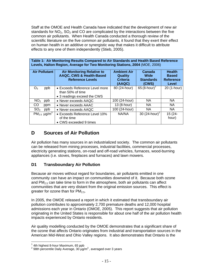Staff at the OMOE and Health Canada have indicated that the development of new air standards for  $NO<sub>2</sub>$ , SO<sub>2</sub> and CO are complicated by the interactions between the five common air pollutants. When Health Canada conducted a thorough review of the scientific literature on the five common air pollutants, it found that they exert their effect on human health in an additive or synergistic way that makes it difficult to attribute effects to any one of them independently (Stieb, 2005).

**Table 1: Air Monitoring Results Compared to Air Standards and Health Based Reference Levels, Halton Region, Average for Two Monitoring Stations, 2004** (MOE, 2006)

| <b>Air Pollutant</b><br><b>Air Monitoring Relative to</b><br>AAQC, CWS & Health-Based<br><b>Reference Levels</b> |                                                                                   | <b>Ambient Air</b><br>Quality<br><b>Criteria</b><br>(AAQC) | Canada<br>Wide<br><b>Standards</b><br>(CWS) | <b>Health</b><br><b>Based</b><br><b>Reference</b><br>Level |
|------------------------------------------------------------------------------------------------------------------|-----------------------------------------------------------------------------------|------------------------------------------------------------|---------------------------------------------|------------------------------------------------------------|
| ppb<br>$O_3$                                                                                                     | • Exceeds Reference Level more<br>than 50% of time<br>• 3 readings exceed the CWS | 80 (24-hour)                                               | 65 (8-hour)                                 | 20 (1-hour)                                                |
| NO <sub>2</sub><br>ppb                                                                                           | • Never exceeds AAQC                                                              | 100 (24-hour)                                              | <b>NA</b>                                   | NA.                                                        |
| CO<br>ppm                                                                                                        | • Never exceeds AAAC                                                              | 13 (8-hour)                                                | <b>NA</b>                                   | NA.                                                        |
| SO <sub>2</sub><br>ppb                                                                                           | • Never exceeds AAQC                                                              | 100 (24-hour)                                              | <b>NA</b>                                   | <b>NA</b>                                                  |
| $PM_{2.5}$ µg/m <sup>3</sup>                                                                                     | • Exceeds Reference Level 10%<br>of the time<br>• CWS exceeded 9 times            | NA/NA                                                      | 30 $(24 \text{-} \text{hour})^2$            | 15 (24-<br>hour)                                           |

## **D Sources of Air Pollution**

Air pollution has many sources in an industrialized society. The common air pollutants can be released from mining processes, industrial facilities, commercial processes, electricity generating stations, on-road and off-road vehicles, furnaces, wood-burning appliances (i.e. stoves, fireplaces and furnaces) and lawn mowers.

## **D1 Transboundary Air Pollution**

Because air moves without regard for boundaries, air pollutants emitted in one community can have an impact on communities downwind of it. Because both ozone and  $PM<sub>2.5</sub>$  can take time to form in the atmosphere, both air pollutants can affect communities that are very distant from the original emission sources. This effect is greater for ozone than for  $PM<sub>2.5</sub>$ .

In 2005, the OMOE released a report in which it estimated that transboundary air pollution contributes to approximately 2,700 premature deaths and 12,000 hospital admissions each year in Ontario (OMOE, 2005). This report suggests that air pollution originating in the United States is responsible for about one half of the air pollution health impacts experienced by Ontario residents.

Air quality modelling conducted by the OMOE demonstrates that a significant share of the ozone that affects Ontario originates from industrial and transportation sources in the American Mid-West and Ohio Valley regions. It also demonstrates that Ontario is the

 $\overline{\phantom{a}}$ 

<sup>&</sup>lt;sup>1</sup> 4th highest 8-hour Maximum, 65 ppb

 $2$  98th percentile Daily Average, 30  $\mu$ g/m $^3$ , averaged over 3 years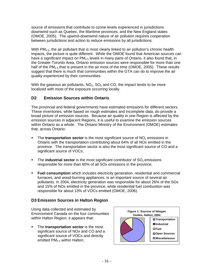source of emissions that contribute to ozone levels experienced in jurisdictions downwind such as Quebec, the Maritime provinces, and the New England states (OMOE, 2005). The upwind-downwind nature of air pollution requires cooperation between jurisdictions and action to reduce emissions by all jurisdictions.

With PM<sub>2.5</sub>, the air pollutant that is most clearly linked to air pollution's chronic health impacts, the picture is quite different. While the OMOE found that American sources can have a significant impact on  $PM<sub>2.5</sub>$  levels in many parts of Ontario, it also found that, in the Greater Toronto Area, Ontario emission sources were responsible for more than one half of the  $PM<sub>2.5</sub>$  that is present in the air most of the time (OMOE, 2005). These results suggest that there is much that communities within the GTA can do to improve the air quality experienced by their communities.

With the gaseous air pollutants,  $NO<sub>2</sub>$ ,  $SO<sub>2</sub>$  and CO, the impact tends to be more localized with most of the exposure occurring locally.

## **D2 Emission Sources within Ontario**

The provincial and federal governments have estimated emissions for different sectors. These inventories, while based on rough estimates and incomplete data, do provide a broad picture of emission sources. Because air quality in one Region is affected by the emission sources in adjacent Regions, it is useful to examine the emission sources within Ontario as a whole. The Ontario Ministry of the Environment (OMOE) estimates that, across Ontario:

- The **transportation sector** is the most significant source of  $NO<sub>x</sub>$  emissions in Ontario with the transportation contributing about 64% of all NOx emitted in the province. The transportation sector is also the most significant source of CO and a significant source of VOCs;
- **The industrial sector** is the most significant contributor of SO<sub>x</sub> emissions responsible for more than 60% of all SOx emissions in the province;
- **Fuel consumption** which includes electricity generation, residential and commercial furnaces, and wood-burning appliances, is an important source of several air pollutants. In 2004, electricity generation was responsible for about 26% of the SOx and 15% of NOx emitted in the province, while residential fuel combustion was responsible for about 13% of VOCs emitted (OMOE, 2006).

## **D3 Emission Sources in Halton Region**

Using data collected and estimated by Environment Canada on the four communities within Halton Region, it appears that:

 The **transportation sector** is the most significant source of NOx and CO and a significant source of VOCs and directly emitted  $PM<sub>2.5</sub>$  within Halton;

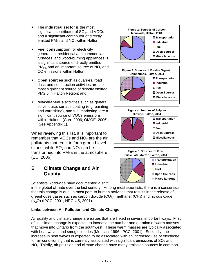- The **industrial sector** is the most significant contributor of  $SO<sub>x</sub>$  and VOCs and a significant contributor of directly emitted  $PM_{2.5}$  and  $NO_x$  within Halton:
- **Fuel consumption** for electricity generation, residential and commercial furnaces, and wood-burning appliances is a significant source of directly emitted  $PM<sub>2.5</sub>$  and an important source of  $NO<sub>x</sub>$  and CO emissions within Halton;
- **Open sources** such as quarries, road dust, and construction activities are the most significant source of directly emitted PM2.5 in Halton Region; and
- **Miscellaneous** activities such as general solvent use, surface coating (e.g. painting and varnishing), and fuel marketing, are a significant source of VOCs emissions within Halton. (Corr, 2006; OMOE, 2006) (See Appendix 1).

When reviewing this list, it is important to remember that VOCs and  $NO<sub>x</sub>$  are the air pollutants that react to form ground-level ozone, while  $SO<sub>2</sub>$  and  $NO<sub>x</sub>$  can be transformed into  $PM<sub>2.5</sub>$  in the atmosphere (EC, 2006).

# **E Climate Change and Air Quality**

Scientists worldwide have documented a shift

in the global climate over the last century. Among most scientists, there is a consensus that this change is due, in most part, to human activities that results in the release of greenhouse gases such as carbon dioxide  $(CO_2)$ , methane,  $(CH_4)$  and nitrous oxide (N2O) (IPCC, 2001; NRC-US, 2001).

#### **Links between Air Pollution and Climate Change**

Air quality and climate change are issues that are linked in several important ways. First of all, climate change is expected to increase the number and duration of warm masses that move into Ontario from the southwest. These warm masses are typically associated with heat waves and smog episodes (Mortsch, 1996; IPCC, 2001). Secondly, the increase in heat waves is expected to be associated with an increased use of electricity for air conditioning that is currently associated with significant emissions of  $SO<sub>2</sub>$  and  $NO<sub>x</sub>$ . Thirdly, air pollution and climate change have many emission sources in common







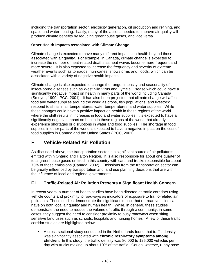including the transportation sector, electricity generation, oil production and refining, and space and water heating. Lastly, many of the actions needed to improve air quality will produce climate benefits by reducing greenhouse gases, and vice versa.

#### **Other Health Impacts associated with Climate Change**

Climate change is expected to have many different impacts on health beyond those associated with air quality. For example, in Canada, climate change is expected to increase the number of heat-related deaths as heat waves become more frequent and more severe. It is also expected to increase the frequency and severity of extreme weather events such as tornados, hurricanes, snowstorms and floods, which can be associated with a variety of negative health impacts.

Climate change is also expected to change the range, intensity and seasonality of insect-borne diseases such as West Nile Virus and Lyme's Disease which could have a significantly negative impact on health in many parts of the world including Canada (Smoyer, 1999; IPCC, 2001). It has also been projected that climate change will affect food and water supplies around the world as crops, fish populations, and livestock respond to shifts in air temperatures, water temperatures, and water supplies. While these changes could have a positive impact on health in those regions of the world where the shift results in increases in food and water supplies, it is expected to have a significantly negative impact on health in those regions of the world that already experience shortages or disruptions in water and food supplies. The shortage in food supplies in other parts of the world is expected to have a negative impact on the cost of food supplies in Canada and the United States (IPCC, 2001).

# **F Vehicle-Related Air Pollution**

As discussed above, the transportation sector is a significant source of air pollutants emitted within Ontario and Halton Region. It is also responsible for about one quarter of total greenhouse gases emitted in this country with cars and trucks responsible for about 70% of those emissions (Canada, 2002). Emissions from the transportation sector can be greatly influenced by transportation and land use planning decisions that are within the influence of local and regional governments.

## **F1 Traffic-Related Air Pollution Presents a Significant Health Concern**

In recent years, a number of health studies have been directed at traffic corridors using vehicle counts and proximity to roadways as indicators of exposure to traffic-related air pollutants. These studies demonstrate the significant impact that on-road vehicles can have on both local air quality and human health. While, in general, these studies demonstrate the need to reduce the volume of traffic through a community, in some cases, they suggest the need to consider proximity to busy roadways when siting sensitive land uses such as schools, hospitals and nursing homes. A few of these traffic corridor studies are highlighted below:

 A cross-sectional study conducted in the Netherlands found that traffic density was significantly associated with **chronic respiratory symptoms among children.** In this study, the traffic density was 80,000 to 125,000 vehicles per day with trucks making up about 10% of the traffic. Cough, wheeze, runny nose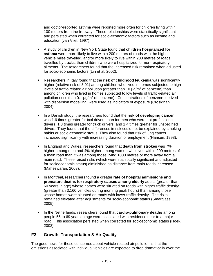and doctor-reported asthma were reported more often for children living within 100 meters from the freeway. These relationships were statistically significant and persisted when corrected for socio-economic factors such as income and education (van Vliet, 1997).

- A study of children in New York State found that **children hospitalized for asthma** were more likely to live within 200 metres of roads with the highest vehicle miles travelled, and/or more likely to live within 200 metres of roads travelled by trucks, than children who were hospitalized for non-respiratory ailments. The researchers found that the increased risk remained when adjusted for socio-economic factors (Lin et al, 2002).
- Researchers in Italy found that the **risk of childhood leukemia** was significantly higher (relative risk of 3.91) among children who lived in homes subjected to high levels of traffic-related air pollution (greater than 10  $\mu$ g/m<sup>3</sup> of benzene) than among children who lived in homes subjected to low levels of traffic-related air pollution (less than 0.1  $\mu$ g/m<sup>3</sup> of benzene). Concentrations of benzene, derived with dispersion modelling, were used as indicators of exposure (Crosignani, 2004).
- In a Danish study, the researchers found that the **risk of developing cancer** was 1.6 times greater for taxi drivers than for men who were not professional drivers, 1.3 times greater for truck drivers, and 1.4 times greater for unspecified drivers. They found that the differences in risk could not be explained by smoking habits or socio-economic status. They also found that risk of lung cancer increased significantly with increasing duration of employment (Hansen, 1998).
- In England and Wales, researchers found that **death from strokes** was 7% higher among men and 4% higher among women who lived within 200 metres of a main road than it was among those living 1000 metres or more away from a main road. These raised risks (which were statistically significant and adjusted for socioeconomic status) diminished as distance from main roads increased (Maheswaran, 2003).
- In Montreal, researchers found a greater rate of hospital admissions and **premature deaths for respiratory causes among elderly** adults (greater than 60 years in age) whose homes were situated on roads with higher traffic density (greater than 3,160 vehicles during morning peak hours) than among those whose homes were situated on roads with lower traffic density. The risks remained elevated after adjustments for socio-economic status (Smargiassi, 2005).
- **IFT In the Netherlands, researchers found that cardio-pulmonary deaths** among people 55 to 69 years in age were associated with residence near to a major road. This association persisted when corrected for socioeconomic status (Hoek, 2002).

#### **F2 Growth, Transportation & Air Quality**

The good news for those concerned about vehicle-related air pollution is that the emissions associated with individual vehicles are expected to drop dramatically over the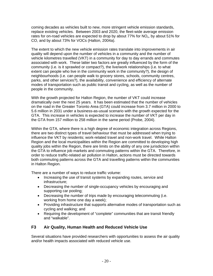coming decades as vehicles built to new, more stringent vehicle emission standards, replace existing vehicles. Between 2003 and 2020, the fleet-wide average emission rates for on-road vehicles are expected to drop by about 77% for NO<sub>x</sub>, by about 51% for CO, and by about 73% for VOCs (Halton, 2004a).

The extent to which the new vehicle emission rates translate into improvements in air quality will depend upon the number of vehicles in a community and the number of vehicle kilometres travelled (VKT) in a community for day to day errands and commutes associated with work. These latter two factors are greatly influenced by the form of the community (i.e. is it sprawled or compact?), the live/work relationships (i.e. to what extent can people who live in the community work in the community?), the design of neighbourhoods (i.e. can people walk to grocery stores, schools, community centres, parks, and other services?), the availability, convenience and efficiency of alternate modes of transportation such as public transit and cycling, as well as the number of people in the community.

With the growth projected for Halton Region, the number of VKT could increase dramatically over the next 25 years. It has been estimated that the number of vehicles on the road in the Greater Toronto Area (GTA) could increase from 3.7 million in 2000 to 5.6 million in 2031 under a business-as-usual scenario with the growth expected for the GTA. This increase in vehicles is expected to increase the number of VKT per day in the GTA from 157 million to 258 million in the same period (Probe, 2004).

Within the GTA, where there is a high degree of economic integration across Regions, there are two distinct types of travel behaviour that must be addressed when trying to influence the VKT by residents; work-related travel and non-work travel. While Halton Region and the local municipalities within the Region are committed to developing high quality jobs within the Region, there are limits on the ability of any one jurisdiction within the GTA to influence job markets and commuting patterns within the GTA. Therefore, in order to reduce traffic-related air pollution in Halton, actions must be directed towards both commuting patterns across the GTA and travelling patterns within the communities in Halton Region.

There are a number of ways to reduce traffic volume:

- Increasing the use of transit systems by expanding routes, service and infrastructure;
- Decreasing the number of single-occupancy vehicles by encouraging and supporting car pooling;
- Decreasing the number of trips made by encouraging telecommuting (i.e. working from home one day a week);
- Providing infrastructure that supports alternative modes of transportation such as cycling and walking; and
- Requiring the development of "complete" communities that are transit friendly and "walkable".

## **F3 Air Quality, Human Health and Reduced Vehicle Use**

Several situations have provided researchers with opportunities to assess the air quality and/or health impacts associated with reduced vehicle use.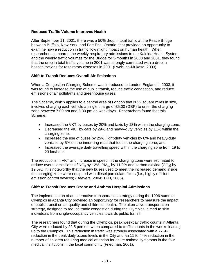#### **Reduced Traffic Volume Improves Health**

After September 11, 2001, there was a 50% drop in total traffic at the Peace Bridge between Buffalo, New York, and Fort Erie, Ontario, that provided an opportunity to examine how a reduction in traffic flow might impact on human health. When researchers compared the weekly respiratory admissions to the Kaleida Health System and the weekly traffic volumes for the Bridge for 3-months in 2000 and 2001, they found that the drop in total traffic volume in 2001 was strongly correlated with a drop in hospitalizations for respiratory diseases in 2001 (Lwebuga-Mukasa, 2003).

#### **Shift to Transit Reduces Overall Air Emissions**

When a Congestion Charging Scheme was introduced to London England in 2003, it was found to increase the use of public transit, reduce traffic congestion, and reduce emissions of air pollutants and greenhouse gases.

The Scheme, which applies to a central area of London that is 22 square miles in size. involves charging each vehicle a single charge of £5.00 (GBP) to enter the charging zone between 7:00 am and 6:30 pm on weekdays. Researchers found that this Scheme:

- Increased the VKT by buses by 20% and taxis by 13% within the charging zone;
- Decreased the VKT by cars by 29% and heavy-duty vehicles by 11% within the charging zone;
- Increased the use of buses by 25%, light-duty vehicles by 8% and heavy-duty vehicles by 5% on the inner ring road that feeds the charging zone; and
- Increased the average daily travelling speed within the charging zone from 19 to 23 km/hour.

The reductions in VKT and increase in speed in the charging zone were estimated to reduce overall emissions of NO<sub>x</sub> by 12%, PM<sub>10</sub> by 11.9% and carbon dioxide (CO<sub>2</sub>) by 19.5%. It is noteworthy that the new buses used to meet the increased demand inside the charging zone were equipped with diesel particulate filters (i.e., highly efficient emission control devices) (Beevers, 2004; TPH, 2006).

#### **Shift to Transit Reduces Ozone and Asthma Hospital Admissions**

The implementation of an alternative transportation strategy during the 1996 summer Olympics in Atlanta City provided an opportunity for researchers to measure the impact of public transit on air quality and children's health. The alternative transportation strategy, designed to reduce traffic congestion during the Olympics, aimed to shift individuals from single-occupancy vehicles towards public transit.

The researchers found that during the Olympics, peak weekday traffic counts in Atlanta City were reduced by 22.5 percent when compared to traffic counts in the weeks leading up to the Olympics. This reduction in traffic was strongly associated with a 27.9% reduction in the peak daily ozone levels in the City and an 11 to 44% reduction in the number of children requiring medical attention for acute asthma symptoms in the four medical institutions in the local community (Friedman, 2001).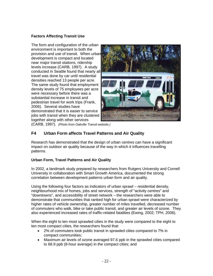#### **Factors Affecting Transit Use**

The form and configuration of the urban environment is important to both the provision and use of transit. When urban development is compact and located near major transit stations, ridership levels increase (CARB, 1997). A study conducted in Seattle found that nearly all travel was done by car until residential densities reached 13 people per acre. The same study found that employment density levels of 75 employees per acre were necessary before there was a substantial increase in transit and pedestrian travel for work trips (Frank, 2006). Several studies have demonstrated that it is easier to service jobs with transit when they are clustered together along with other services



(CARB, 1997). *(Photo from Oakville Transit website.)*

#### **F4 Urban Form affects Travel Patterns and Air Quality**

Research has demonstrated that the design of urban centres can have a significant impact on outdoor air quality because of the way in which it influences travelling patterns.

#### **Urban Form, Travel Patterns and Air Quality**

In 2002, a landmark study prepared by researchers from Rutgers University and Cornell University in collaboration with Smart Growth America, documented the strong correlation between development patterns urban form and air quality.

Using the following four factors as indicators of urban sprawl – residential density, neighbourhood mix of homes, jobs and services, strength of "activity centres" and "downtowns", and accessibility of street network – the researchers were able to demonstrate that communities that ranked high for urban sprawl were characterized by higher rates of vehicle ownership, greater number of miles travelled, decreased number of commuters who walk, bike or take public transit, and greater air levels of ozone. They also experienced increased rates of traffic-related fatalities (Ewing, 2002; TPH, 2006).

When the eight to ten most sprawled cities in the study were compared to the eight to ten most compact cities, the researchers found that:

- 2% of commuters took public transit in sprawled cities compared to 7% in compact communities;
- Maximum air levels of ozone averaged 97.6 ppb in the sprawled cities compared to 68.9 ppb (8-hour average) in the compact cities; and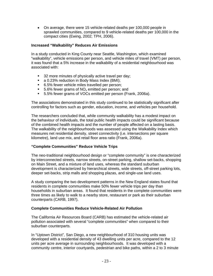• On average, there were 15 vehicle-related deaths per 100,000 people in sprawled communities, compared to 9 vehicle-related deaths per 100,000 in the compact cities (Ewing, 2002; TPH, 2006).

#### **Increased "Walkability" Reduces Air Emissions**

In a study conducted in King County near Seattle, Washington, which examined "walkability", vehicle emissions per person, and vehicle miles of travel (VMT) per person, it was found that a 5% increase in the walkability of a residential neighbourhood was associated with:

- <sup>32</sup> more minutes of physically active travel per day;
- a 0.23% reduction in Body Mass Index (BMI);
- 6.5% fewer vehicle miles travelled per person:
- 5.6% fewer grams of  $NO<sub>x</sub>$  emitted per person; and
- 5.5% fewer grams of VOCs emitted per person (Frank, 2006a).

The associations demonstrated in this study continued to be statistically significant after controlling for factors such as gender, education, income, and vehicles per household.

The researchers concluded that, while community walkability has a modest impact on the behaviour of individuals, the total public health impacts could be significant because of the combined health impacts and the number of people affected on a lasting basis. The walkability of the neighbourhoods was assessed using the Walkability Index which measures net residential density, street connectivity (i.e. intersections per square kilometre), land use mix, and retail floor area ratio (Frank, 2006a).

#### **"Complete Communities" Reduce Vehicle Trips**

The neo-traditional neighbourhood design or "complete community" is one characterized by interconnected streets, narrow streets, on-street parking, shallow set-backs, shopping on Main Street, and a mixture of land uses, whereas the standard suburban development is characterized by hierarchical streets, wide streets, off-street parking lots, deeper set-backs, strip malls and shopping plazas, and single-use land uses.

A study comparing the two development patterns in the New England states found that residents in complete communities make 50% fewer vehicle trips per day than households in suburban areas. It found that residents in the complete communities were three times as likely to walk to a nearby store, restaurant or park as their suburban counterparts (CARB, 1997).

#### **Complete Communities Reduce Vehicle-Related Air Pollution**

The California Air Resources Board (CARB) has estimated the vehicle-related air pollution associated with several "complete communities" when compared to their suburban counterparts.

In "Uptown District", San Diego, a new neighbourhood of 310 housing units was developed with a residential density of 43 dwelling units per acre, compared to the 12 units per acre average in surrounding neighbourhoods. It was developed with a community centre, interior courtyards, pedestrian and bike paths, within a 2 to 3 minute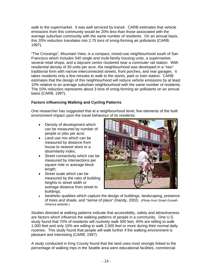walk to the supermarket. It was well serviced by transit. CARB estimates that vehicle emissions from this community would be 20% less than those associated with the average suburban community with the same number of residents. On an annual basis, this 20% reduction translates into 2.75 tons of smog-forming air pollutants (CARB, 1997).

"The Crossings", Mountain View, is a compact, mixed-use neighbourhood south of San Francisco which includes 540 single and multi-family housing units, a supermarket, several retail shops, and a daycare centre clustered near a commuter rail station. With residential density of 30 units per acre, the neighbourhood was developed in a "neo" traditional form with narrow interconnected streets, front porches, and rear garages. It takes residents only a few minutes to walk to the stores, park or train station. CARB estimates that the design of this neighhourhood will reduce vehicle emissions by at least 10% relative to an average suburban neighbourhood with the same number of residents. The 10% reduction represents about 3 tons of smog-forming air pollutants on an annual basis (CARB, 1997).

#### **Factors influencing Walking and Cycling Patterns**

One researcher has suggested that at a neighbourhood level, five elements of the built environment impact upon the travel behaviour of its residents:

- Density of development which can be measured by number of people or jobs per acre;
- Land use mix which can be measured by distance from house to nearest store or a dissimilarity index;
- Street connectivity which can be measured by intersections per square mile or average block length;
- Street scale which can be measured by the ratio of building heights to street width or average distance from street to buildings;



• Aesthetic qualities which capture the design of buildings, landscaping, presence of trees and shade, and "sense of place" (Handy, 2002). *(Photo from Smart Growth America website.)*

Studies directed at walking patterns indicate that accessibility, safety and attractiveness are factors which influence the walking patterns of people in a community. One U.S. study found that 70% of residents will routinely walk 500 feet, 40% are willing to walk 1,000 feet and only 10% are willing to walk 2,000 feet or more during their normal daily routines. This study found that people will walk further if the walking environment is pleasant and interesting (CARB, 1997).

A study conducted in King County found that the land uses most strongly linked to the percentage of walking trips in the Seattle area were educational facilities, commercial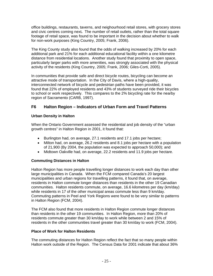office buildings, restaurants, taverns, and neighourhood retail stores, with grocery stores and civic centres coming next**.** The number of retail outlets, rather than the total square footage of retail space, was found to be important in the decision about whether to walk for non-work purposes (King Country, 2005; Frank, 2006).

The King County study also found that the odds of walking increased by 20% for each additional park and 21% for each additional educational facility within a one kilometre distance from residential locations. Another study found that proximity to open space, particularly larger parks with more amenities, was strongly associated with the physical activity of the residents (King Country, 2005; Frank, 2006; Giles-Corti, 2005).

In communities that provide safe and direct bicycle routes, bicycling can become an attractive mode of transportation. In the City of Davis, where a high-quality, interconnected network of bicycle and pedestrian paths have been provided, it was found that 22% of employed residents and 43% of students surveyed ride their bicycles to school or work respectively. This compares to the 2% bicycling rate for the nearby region of Sacramento (CARB, 1997).

#### **F6 Halton Region – Indicators of Urban Form and Travel Patterns**

#### **Urban Density in Halton**

When the Ontario Government assessed the residential and job density of the "urban growth centres" in Halton Region in 2001, it found that:

- Burlington had, on average, 27.1 residents and 17.1 jobs per hectare;
- Milton had, on average, 26.2 residents and 8.1 jobs per hectare with a population of 21,900 (By 2004, the population was expected to approach 50,000); and
- Midtown Oakville had, on average, 22.2 residents and 11.9 jobs per hectare.

#### **Commuting Distances in Halton**

Halton Region has more people travelling longer distances to work each day than other large municipalities in Canada. When the FCM compared Canada's 20 largest municipalities and urban regions for travelling patterns, it found that, on average, residents in Halton commute longer distances than residents in the other 19 Canadian communities. Halton residents commute, on average, 16.6 kilometres per day (km/day) while residents in 17 of the other municipal areas commute less than 9 km/day. Commuting patterns in Peel and York Regions were found to be very similar to patterns in Halton Region (FCM, 2004).

The FCM also found that more residents in Halton Region commute longer distances than residents in the other 19 communities. In Halton Region, more than 20% of residents commute greater than 30 km/day to work while between 2 and 15% of residents in the other communities travel greater than 30 km/day to work (FCM, 2004).

#### **Place of Work for Halton Residents**

The commuting distances for Halton Region reflect the fact that so many people within Halton work outside of the Region. The Census Data for 2001 indicate that about 36%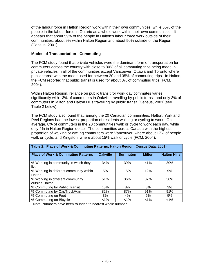of the labour force in Halton Region work within their own communities, while 55% of the people in the labour force in Ontario as a whole work within their own communities. It appears that about 59% of the people in Halton's labour force work outside of their communities; about 9% within Halton Region and about 50% outside of the Region (Census, 2001).

#### **Modes of Transportation - Commuting**

The FCM study found that private vehicles were the dominant form of transportation for commuters across the country with close to 80% of all commuting trips being made in private vehicles in all of the communities except Vancouver, Ottawa and Toronto where public transit was the mode used for between 20 and 35% of commuting trips. In Halton, the FCM reported that public transit is used for about 8% of commuting trips (FCM, 2004).

Within Halton Region, reliance on public transit for work day commutes varies significantly with 13% of commuters in Oakville travelling by public transit and only 3% of commuters in Milton and Halton Hills travelling by public transit (Census, 2001)(see Table 2 below).

The FCM study also found that, among the 20 Canadian communities, Halton, York and Peel Regions had the lowest proportion of residents walking or cycling to work. On average, 8% of commuters in the 20 communities walk or cycle to work each day, while only 4% in Halton Region do so. The communities across Canada with the highest proportion of walking or cycling commuters were Vancouver, where about 17% of people walk or cycle, and Kingston, where about 15% walk or cycle (FCM, 2004).

| Table 2: Place of Work & Commuting Patterns, Halton Region (Census Data, 2001) |                 |                   |               |                     |  |
|--------------------------------------------------------------------------------|-----------------|-------------------|---------------|---------------------|--|
| <b>Place of Work &amp; Commuting Patterns</b>                                  | <b>Oakville</b> | <b>Burlington</b> | <b>Milton</b> | <b>Halton Hills</b> |  |
| % Working in community in which they<br>live                                   | 34%             | 39%               | 41%           | 30%                 |  |
| % Working in different community within<br>Halton                              | 5%              | 15%               | 12%           | 9%                  |  |
| % Working in different community<br>outside Halton                             | 51%             | 36%               | 37%           | 50%                 |  |
| % Commuting by Public Transit                                                  | 13%             | 8%                | 3%            | 3%                  |  |
| % Commuting by Car/Truck/Van                                                   | 82%             | 87%               | 91%           | 91%                 |  |
| % Commuting on Foot                                                            | 3%              | 4%                | 5%            | 5%                  |  |
| % Commuting on Bicycle                                                         | $< 1\%$         | $< 1\%$           | $< 1\%$       | $< 1\%$             |  |

Note: Numbers have been rounded to nearest whole number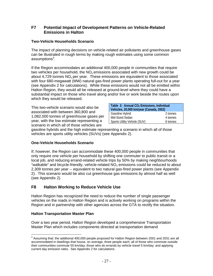#### **F7 Potential Impact of Development Patterns on Vehicle-Related Emissions in Halton**

#### **Two-Vehicle Households Scenario**

The impact of planning decisions on vehicle-related air pollutants and greenhouse gases can be illustrated in rough terms by making rough estimates using some common assumptions $^3$ .

If the Region accommodates an additional 400,000 people in communities that require two vehicles per household, the  $NO_x$  emissions associated with new growth could be about 4,729 tonnes  $NO<sub>x</sub>$  per year. These emissions are equivalent to those associated with four 680-megawatt (MW) natural gas-fired power plants operating full-out for a year (see Appendix 2 for calculations). While these emissions would not all be emitted within Halton Region, they would all be released at ground-level where they could have a substantial impact on those who travel along and/or live or work beside the routes upon which they would be released.

This two-vehicle scenario would also be associated with between 360,800 and 1,082,000 tonnes of greenhouse gases per year, with the low estimate representing a scenario in which all of those vehicles are

| Table 3: Annual CO <sub>2</sub> Emissions, Individual<br>Vehicles, 20,000 km/year (Canada, 2002) |  |  |  |  |  |
|--------------------------------------------------------------------------------------------------|--|--|--|--|--|
| Gasoline Hybrid<br>2 tonnes                                                                      |  |  |  |  |  |
| Mid-Sized Sedan<br>4 tonnes                                                                      |  |  |  |  |  |
| Sports Utility Vehicle (SUV)<br>6 tonnes                                                         |  |  |  |  |  |

gasoline hybrids and the high estimate representing a scenario in which all of those vehicles are sports utility vehicles (SUVs) (see Appendix 2).

#### **One-Vehicle Households Scenario**

If, however, the Region can accommodate these 400,000 people in communities that only require one vehicle per household by shifting one commuter to public transit or a local job, and reducing errand-related vehicle trips by 50% by making neighbourhoods "walkable" and bicycle-friendly, vehicle-related  $NO<sub>x</sub>$  emissions could be reduced to about 2,309 tonnes per year -- equivalent to two natural gas-fired power plants (see Appendix 2). This scenario would be also cut greenhouse gas emissions by almost half as well (see Appendix 2).

## **F8 Halton Working to Reduce Vehicle Use**

Halton Region has recognized the need to reduce the number of single passenger vehicles on the roads in Halton Region and is actively working on programs within the Region and in partnership with other agencies across the GTA to rectify the situation.

#### **Halton Transportation Master Plan**

Over a two year period, Halton Region developed a comprehensive Transportation Master Plan which includes components directed at transportation demand

 $^3$  Assuming that: the additional 400,000 people proposed for Halton Region between 2001 and 2031 are all  $^3$ accommodated in dwellings that house, on average, three people each; all of those who commute outside their communities commute 50 km/day; those who do errands by vehicle travel 5 km/day; and applying current day emission rates. See Appendix 2 for calculations.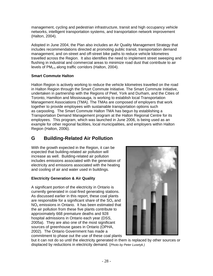management, cycling and pedestrian infrastructure, transit and high occupancy vehicle networks, intelligent transportation systems, and transportation network improvement (Halton, 2004).

Adopted in June 2004, the Plan also includes an Air Quality Management Strategy that includes recommendations directed at promoting public transit, transportation demand management, and on-street and off-street bike paths to reduce vehicle kilometres travelled across the Region. It also identifies the need to implement street sweeping and flushing in industrial and commercial areas to minimize road dust that contribute to air levels of  $PM<sub>2.5</sub>$  along traffic corridors (Halton, 2004).

#### **Smart Commute Halton**

Halton Region is actively working to reduce the vehicle kilometres travelled on the road in Halton Region through the Smart Commute Initiative. The Smart Commute Initiative, undertaken in partnership with the Regions of Peel, York and Durham, and the Cities of Toronto, Hamilton and Mississauga, is working to establish local Transportation Management Associations (TMA). The TMAs are composed of employers that work together to provide employees with sustainable transportation options such as carpooling. The Smart Commute Halton TMA has begun by establishing a Transportation Demand Management program at the Halton Regional Centre for its employees. This program, which was launched in June 2006, is being used as an example for other regional facilities, local municipalities, and employers within Halton Region (Halton, 2006).

# **G Building-Related Air Pollution**

With the growth expected in the Region, it can be expected that building-related air pollution will increase as well. Building-related air pollution includes emissions associated with the generation of electricity and emissions associated with the heating and cooling of air and water used in buildings.

#### **Electricity Generation & Air Quality**

A significant portion of the electricity in Ontario is currently generated in coal-fired generating stations. As discussed earlier in this report, these coal plants are responsible for a significant share of the  $SO<sub>x</sub>$  and  $NO<sub>x</sub>$  emissions in Ontario. It has been estimated that the air pollution from these five plants contribute to approximately 668 premature deaths and 928 hospital admissions in Ontario each year (DSS, 2005a). They are also one of the most significant sources of greenhouse gases in Ontario (OPHA, 2002). The Ontario Government has made a commitment to phase out the use of these coal plants



but it can not do so until the electricity generated in them is replaced by other sources or displaced by reductions in electricity demand. (*Photo by Peter Lusetyk.)*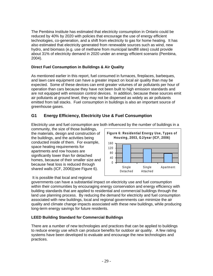The Pembina Institute has estimated that electricity consumption in Ontario could be reduced by 40% by 2020 with policies that encourage the use of energy efficient technologies, co-generation, and a shift from electricity to gas for home heating. It has also estimated that electricity generated from renewable sources such as wind, new hydro, and biomass (e.g. use of methane from municipal landfill sites) could provide about 31% of electricity demand in 2020 under an energy efficient scenario (Pembina, 2004).

#### **Direct Fuel Consumption in Buildings & Air Quality**

As mentioned earlier in this report, fuel consumed in furnaces, fireplaces, barbeques, and lawn care equipment can have a greater impact on local air quality than may be expected. Some of these devices can emit greater volumes of air pollutants per hour of operation than cars because they have not been built to high emission standards and are not equipped with emission control devices. In addition, because these sources emit air pollutants at ground level, they may not be dispersed as widely as air pollutants emitted from tall stacks. Fuel consumption in buildings is also an important source of greenhouse gases.

## **G1 Energy Efficiency, Electricity Use & Fuel Consumption**

Electricity use and fuel consumption are both influenced by the number of buildings in a

community, the size of those buildings, the materials, design and construction of the buildings, and the activities being conducted inside of them. For example, space heating requirements for apartments and row houses are significantly lower than for detached homes, because of their smaller size and because heat loss is reduced through shared walls (ICF, 2006)(see Figure 6).

#### It is possible that local and regional



governments can have a substantial impact on electricity use and fuel consumption within their communities by encouraging energy conservation and energy efficiency with building standards that are applied to residential and commercial buildings through the land use planning process. By reducing the demand for electricity and fuel consumption associated with new buildings, local and regional governments can minimize the air quality and climate change impacts associated with these new buildings, while producing long-term energy savings for future residents.

#### **LEED Building Standard for Commercial Buildings**

There are a number of new technologies and practices that can be applied to buildings to reduce energy use which can produce benefits for outdoor air quality. A few rating systems have been developed to evaluate and encourage the new technologies and practices.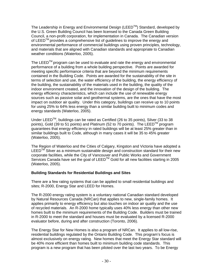The Leadership in Energy and Environmental Design (LEED $^{TM}$ ) Standard, developed by the U.S. Green Building Council has been licensed to the Canada Green Building Council, a non-profit corporation, for implementation in Canada. The Canadian version of LEED<sup>TM</sup> provides a comprehensive list of quidelines to improve the energy and environmental performance of commercial buildings using proven principles, technology, and materials that are aligned with Canadian standards and appropriate to Canadian weather conditions (Waterloo, 2005).

The LEED<sup>TM</sup> program can be used to evaluate and rate the energy and environmental performance of a building from a whole building perspective. Points are awarded for meeting specific performance criteria that are beyond the minimum requirements contained in the Building Code. Points are awarded for the sustainability of the site in terms of selection and use, the water efficiency of the building, the energy efficiency of the building, the sustainability of the materials used in the building, the quality of the indoor environment created, and the innovation of the design of the building. The energy efficiency characteristics, which can include the use of renewable energy sources such as passive solar and geothermal systems, are the ones that have the most impact on outdoor air quality. Under this category, buildings can receive up to 10 points for using 25% to 64% less energy than a similar building built to minimum codes and energy standards (Waterloo, 2005).

Under LEED<sup>TM</sup>, buildings can be rated as Certified (26 to 35 points), Silver (33 to 38 points), Gold (39 to 51 points) and Platinum (52 to 70 points). The LEED<sup>TM</sup> program guarantees that energy efficiency in rated buildings will be at least 25% greater than in similar buildings built to Code, although in many cases it will be 35 to 45% greater (Waterloo, 2005).

The Region of Waterloo and the Cities of Calgary, Kingston and Victoria have adopted a  $LEED^{TM}$  Silver as a minimum sustainable design and construction standard for their new corporate facilities, while the City of Vancouver and Public Works and Government Services Canada have set the goal of LEED<sup>TM</sup> Gold for all new facilities starting in 2005 (Waterloo, 2005).

#### **Building Standards for Residential Buildings and Sites**

There are a few rating systems that can be applied to small residential buildings and sites; R-2000, Energy Star and LEED for Homes.

The R-2000 energy rating system is a voluntary national Canadian standard developed by Natural Resources Canada (NRCan) that applies to new, single-family homes. It applies primarily to energy efficiency but also touches on indoor air quality and the use of recycled materials. An R-2000 home typically uses 40% less energy than other new homes built to the minimum requirements of the Building Code. Builders must be trained in R-2000 to meet the standard and houses must be evaluated by a licensed R-2000 evaluator before, during and after construction (Toronto, 2006).

The Energy Star for New Homes is also a program of NRCan. It applies to all low-rise, residential buildings regulated by the Ontario Building Code. This program's focus is almost exclusively on energy rating. New homes that meet the Energy Star standard will be 40% more efficient than homes built to minimum building code standards. This program is a new program that has been piloted over the last two years. To be Energy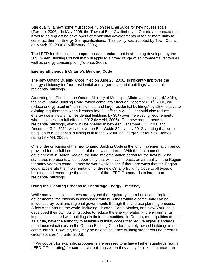Star quality, a new home must score 78 on the EnerGuide for new houses scale (Toronto, 2006). In May 2006, the Town of East Gwillimbury in Ontario announced that it would be requesting developers of residential developments of ten or more units to construct them to Energy Star qualifications. This policy was adopted by Town Council on March 20, 2006 (Gwillimbury, 2006).

The LEED for Homes is a comprehensive standard that is still being developed by the U.S. Green Building Council that will apply to a broad range of environmental factors as well as energy consumption (Toronto, 2006).

#### **Energy Efficiency & Ontario's Building Code**

The new Ontario Building Code, filed on June 28, 2006, significantly improves the energy efficiency for "non-residential and larger residential buildings" and small residential buildings.

According to officials at the Ontario Ministry of Municipal Affairs and Housing (MMAH), the new Ontario Building Code, which came into effect on December 31<sup>st</sup>, 2006, will reduce energy used in "non-residential and large residential buildings" by 25% relative to existing requirements when it comes into full effect in 2012. It should also reduce energy use in new small residential buildings by 35% over the existing requirements when it comes into full effect in 2012 (MMAH, 2006). The new requirements for residential buildings, which will be phased in between December 31<sup>st</sup>, 2006 and December 31<sup>st</sup>, 2011, will achieve the EnerGuide 80 level by 2012; a rating that would be given to a residential building built to the R-2000 or Energy Star for New Homes rating (MMAH, 2006).

One of the criticisms of the new Ontario Building Code is the long implementation period provided for the full introduction of the new standards. With the fast pace of development in Halton Region, the long implementation period for the next building standards represents a lost opportunity that will have impacts on air quality in the Region for many years to come. It may be worthwhile to see if there are ways that the Region could accelerate the implementation of the new Ontario Building Code to all types of buildings and encourage the application of the LEED™ standards to large, nonresidential buildings.

#### **Using the Planning Process to Encourage Energy Efficiency**

While many emission sources are beyond the regulatory control of local or regional governments, the emissions associated with buildings within a community can be influenced by local and regional governments through the land use planning process. A few cities around the world, including Chicago, Santa Monica, and New York, have developed their own building codes to reduce the energy-related and environmental impacts associated with buildings in their communities. In Ontario, municipalities do not, as a rule, have the authority to establish building codes that require higher standards than those which exist in the Ontario Building Code for privately owned buildings in their communities. However, they may be able to influence building standards under certain circumstances (Toronto, 2006).

In Vancouver, for example, proponents are pressed to achieve higher standards (e.g. a  $LEED^{TM}$  Gold rating) for commercial buildings when they apply for rezoning and/or an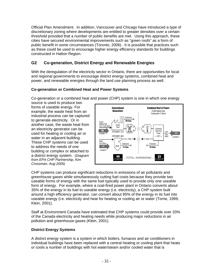Official Plan Amendment. In addition, Vancouver and Chicago have introduced a type of discretionary zoning where developments are entitled to greater densities over a certain threshold provided that a number of public benefits are met. Using this approach, these cities have secured environmental improvements such as "green roofs" as a form of public benefit in some circumstances (Toronto, 2006). It is possible that practices such as these could be used to encourage higher energy efficiency standards for buildings constructed in Halton Region.

## **G2 Co-generation, District Energy and Renewable Energies**

With the deregulation of the electricity sector in Ontario, there are opportunities for local and regional governments to encourage district energy systems, combined heat and power, and renewable energies through the land use planning process as well.

#### **Co-generation or Combined Heat and Power Systems**

Co-generation or a combined heat and power (CHP) system is one in which one energy

source is used to produce two forms of useable energy. For example, the waste heat from an industrial process can be captured to generate electricity. Or in another case, the waste heat from an electricity generator can be used for heating or cooling air or water in an adjacent building. These CHP systems can be used to address the needs of one building or complex or attached to a district energy system. (*Diagram from EPA CHP Partnership, Kim Crossman, Aug 2005)*



CHP systems can produce significant reductions in emissions of air pollutants and greenhouse gases while simultaneously cutting fuel costs because they provide two useable forms of energy with the same fuel typically used to provide only one useable form of energy. For example, where a coal-fired power plant in Ontario converts about 35% of the energy in its fuel to useable energy (i.e. electricity), a CHP system built around a high efficiency generator, can convert about 85% of the energy in its fuel into useable energy (i.e. electricity and heat for heating or cooling air or water (Torrie, 1999; Klein, 2001).

Staff at Environment Canada have estimated that CHP systems could provide over 20% of the Canada electricity and heating needs while producing major reductions in air pollution and greenhouse gases (Klein, 2001).

#### **District Energy Systems**

A district energy system is a system in which boilers, furnaces and air conditioners in individual buildings have been replaced with a central heating or cooling plant that heats or cools a number of buildings with hot water/steam and/or cooled water that is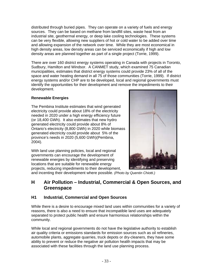distributed through buried pipes. They can operate on a variety of fuels and energy sources. They can be based on methane from landfill sites, waste heat from an industrial site, geothermal energy, or deep lake cooling technologies. These systems can be very flexible, allowing new suppliers of hot or cold water to be added over time and allowing expansion of the network over time. While they are most economical in high density areas, low density areas can be serviced economically if high and low density areas are planned together as part of a single project (Torrie, 1999).

There are over 160 district energy systems operating in Canada with projects in Toronto, Sudbury, Hamilton and Windsor. A CANMET study, which examined 75 Canadian municipalities, estimates that district energy systems could provide 23% of all of the space and water heating demand in all 75 of those communities (Torrie, 1999). If district energy systems and/or CHP are to be developed, local and regional governments must identify the opportunities for their development and remove the impediments to their development.

#### **Renewable Energies**

The Pembina Institute estimates that wind generated electricity could provide about 18% of the electricity needed in 2020 under a high energy efficiency future (or 18,400 GWh). It also estimates that new hydro generated electricity could provide about 8% of Ontario's electricity (8,800 GWh) in 2020 while biomass generated electricity could provide about 5% of the province's needs in 2020 (5,600 GWh)(Pembina, 2004).

With land use planning policies, local and regional governments can encourage the development of renewable energies by identifying and preserving locations that are suitable for renewable energy projects, reducing impediments to their development,



and incenting their development where possible. *(Photo by Quentin Chiotti.)* 

## **H Air Pollution – Industrial, Commercial & Open Sources, and Greenspace**

## **H1 Industrial, Commercial and Open Sources**

While there is a desire to encourage mixed land uses within communities for a variety of reasons, there is also a need to ensure that incompatible land uses are adequately separated to protect public health and ensure harmonious relationships within the community.

While local and regional governments do not have the legislative authority to establish air quality criteria or emissions standards for emission sources such as oil refineries, automobile plants, aggregate quarries, truck depots or dry-cleaners, they have some ability to prevent or reduce the negative air pollution health impacts that may be associated with these facilities through the land use planning process.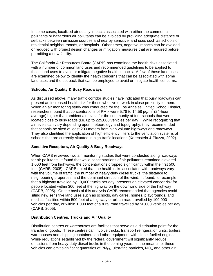In some cases, localized air quality impacts associated with either the common air pollutants or hazardous air pollutants can be avoided by providing adequate distance or setbacks between emission sources and nearby sensitive land uses such as schools or residential neighbourhoods, or hospitals. Other times, negative impacts can be avoided or reduced with project design changes or mitigation measures that are required before permitting a new facility.

The California Air Resources Board (CARB) has examined the health risks associated with a number of common land uses and recommended guidelines to be applied to those land uses to avoid or mitigate negative health impacts. A few of these land uses are examined below to identify the health concerns that can be associated with some land uses and the set back that can be employed to avoid or mitigate health concerns.

#### **Schools, Air Quality & Busy Roadways**

As discussed above, many traffic corridor studies have indicated that busy roadways can present an increased health risk for those who live or work in close proximity to them. When an air monitoring study was conducted for the Los Angeles Unified School District, researchers found that concentrations of PM<sub>10</sub> were 5.78 to 14.58  $\mu$ g/m<sup>3</sup> (24-hour average) higher than ambient air levels for the community at four schools that were located close to busy roads (i.e. up to 225,000 vehicles per day). While recognizing that air levels can vary depending upon meteorology and topography, they recommended that schools be sited at least 200 meters from high volume highways and roadways. They also identified the application of high efficiency filters to the ventilation systems of schools that are currently situated in high traffic locations (Korenstein & Piazza, 2002).

#### **Sensitive Receptors, Air Quality & Busy Roadways**

When CARB reviewed two air monitoring studies that were conducted along roadways for air pollutants, it found that while concentrations of air pollutants remained elevated 1,000 feet from highways, the concentrations dropped significantly within the first 500 feet (CARB, 2005). CARB noted that the health risks associated with roadways vary with the volume of traffic, the number of heavy-duty diesel trucks, the distance to neighbouring properties, and the dominant direction of the wind. It found, for example, that a highway travelled by 10,000 trucks per day, presents an elevated cancer risk for people located within 300 feet of the highway on the downwind side of the highway (CARB, 2005). On the basis of this analysis CARB recommended that agencies avoid siting new sensitive land uses such as schools, day cares, homes, playgrounds, and medical facilities within 500 feet of a highway or urban road travelled by 100,000 vehicles per day, or within 1,000 feet of a rural road travelled by 50,000 vehicles per day (CARB, 2005).

#### **Distribution Centres, Trucks and Air Quality**

Distribution centres or warehouses are facilities that serve as a distribution point for the transfer of goods. These centres can involve trucks, transport refrigeration units, trailers, warehouses and shipping containers and other equipment with diesel-fuelled engines. While regulations established by the federal government will significantly reduce emissions from heavy-duty diesel trucks in the coming years, in the meantime, these vehicles can emit significant quantities of  $PM_{2.5}$ , ultra-fine particles,  $NO_{x}$ , and other air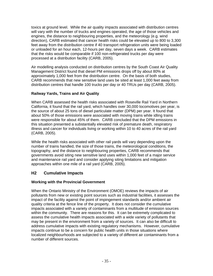toxics at ground level. While the air quality impacts associated with distribution centres will vary with the number of trucks and engines operated, the age of those vehicles and engines, the distance to neighbouring properties, and the meteorology (e.g. wind direction), CARB estimated that cancer health risks could be elevated up to 800 to 3,300 feet away from the distribution centre if 40 transport refrigeration units were being loaded or unloaded for an hour each, 12-hours per day, seven days a week. CARB estimates that the risks would be comparable if 100 non-refrigerated trucks per day were processed at a distribution facility (CARB, 2005).

Air modelling analysis conducted on distribution centres by the South Coast Air Quality Management District found that diesel PM emissions drops off by about 80% at approximately 1,000 feet from the distribution centre. On the basis of both studies, CARB recommends that new sensitive land uses be sited at least 1,000 feet away from distribution centres that handle 100 trucks per day or 40 TRUs per day (CARB, 2005).

#### **Railway Yards, Trains and Air Quality**

When CARB assessed the health risks associated with Roseville Rail Yard in Northern California, it found that the rail yard, which handles over 30,000 locomotives per year, is the source of about 25 tons of diesel particulate matter (DPM) per year. It found that about 50% of those emissions were associated with moving trains while idling trains were responsible for about 45% of them. CARB concluded that the DPM emissions in this situation presented a substantially elevated risk of premature death, respiratory illness and cancer for individuals living or working within 10 to 40 acres of the rail yard (CARB, 2005).

While the health risks associated with other rail yards will vary depending upon the number of trains handled, the size of those trains, the meteorological conditions, the topography, and the distance to neighbouring properties, CARB recommends that governments avoid siting new sensitive land uses within 1,000 feet of a major service and maintenance rail yard and consider applying siting limitations and mitigation approaches within one mile of a rail yard (CARB, 2005).

## **H2 Cumulative Impacts**

#### **Working with the Provincial Government**

When the Ontario Ministry of the Environment (OMOE) reviews the impacts of air pollutants from new or existing point sources such as industrial facilities, it assesses the impact of the facility against the point of impingement standards and/or ambient air quality criteria at the fence line of the property. It does not consider the cumulative impacts associated with a variety of contaminants from a multitude of emission sources within the community. There are reasons for this. It can be extremely complicated to assess the cumulative health impacts associated with a wide variety of pollutants that may be present in the environment from a variety of sources. It can also be difficult to address cumulative impacts with existing regulatory mechanisms. However, cumulative impacts continue to be a concern for public health units in those situations where localized neighbourhoods are subjected to a variety of different air contaminants from a number of different sources.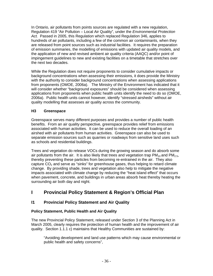In Ontario, air pollutants from points sources are regulated with a new regulation, Regulation 419 "Air Pollution – Local Air Quality", under the *Environmental Protection Act.* Passed in 2005, this Regulation which replaced Regulation 346, applies to hundreds of air pollutants, including a few of the common air contaminants, when they are released from point sources such as industrial facilities. It requires the preparation of emission summaries, the modelling of emissions with updated air quality models, and the application of new and revised ambient air quality criteria (AAQC) and/or point of impingement guidelines to new and existing facilities on a timetable that stretches over the next two decades.

While the Regulation does not require proponents to consider cumulative impacts or background concentrations when assessing their emissions, it does provide the Ministry with the authority to consider background concentrations when assessing applications from proponents (OMOE, 2006a). The Ministry of the Environment has indicated that it will consider whether "background exposures" should be considered when assessing applications from proponents when public health units identify the need to do so (OMOE, 2006a). Public health units cannot however, identify "stressed airsheds" without air quality modelling that assesses air quality across the community.

#### **H3 Greenspace**

Greenspace serves many different purposes and provides a number of public health benefits. From an air quality perspective, greenspace provides relief from emissions associated with human activities. It can be used to reduce the overall loading of an airshed with air pollutants from human activities. Greenspace can also be used to separate emission sources such as quarries or roadways from sensitive land uses such as schools and residential buildings.

Trees and vegetation do release VOCs during the growing season and do absorb some air pollutants from the air. It is also likely that trees and vegetation trap  $PM_{10}$  and  $PM_{2.5}$ , thereby preventing these particles from becoming re-entrained in the air. They also capture  $CO<sub>2</sub>$  and serve as "sinks" for greenhouse gases, thus helping to retard climate change. By providing shade, trees and vegetation also help to mitigate the negative impacts associated with climate change by reducing the "heat island effect" that occurs when pavement, concrete, and buildings in urban areas absorb heat thereby heating the surrounding air both day and night.

# **I** Provincial Policy Statement & Region's Official Plan

## **I1 Provincial Policy Statement and Air Quality**

#### **Policy Statement, Public Health and Air Quality**

The new Provincial Policy Statement, released under Section 3 of the Planning Act in March 2005, clearly requires the protection of human health and the improvement of air quality. Section 1.1.1 c) maintains that Healthy Communities are sustained by:

"Avoiding development and land use patterns which may cause environmental or public health and safety concerns",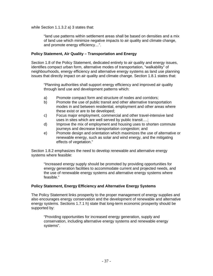while Section 1.1.3.2 a) 3 states that:

"land use patterns within settlement areas shall be based on densities and a mix of land use which minimize negative impacts to air quality and climate change, and promote energy efficiency…".

#### **Policy Statement, Air Quality – Transportation and Energy**

Section 1.8 of the Policy Statement, dedicated entirely to air quality and energy issues, identifies compact urban form, alternative modes of transportation, "walkability" of neighbourhoods, energy efficiency and alternative energy systems as land use planning issues that directly impact on air quality and climate change. Section 1.8.1 states that:

"Planning authorities shall support energy efficiency and improved air quality through land use and development patterns which:

- a) Promote compact form and structure of nodes and corridors;
- b) Promote the use of public transit and other alternative transportation modes in and between residential, employment and other areas where these exist or are to be developed;
- c) Focus major employment, commercial and other travel-intensive land uses in sites which are well served by public transit….;
- d) Improve the mix of employment and housing uses to shorten commute journeys and decrease transportation congestion; and
- e) Promote design and orientation which maximizes the use of alternative or renewable energy, such as solar and wind energy, and the mitigating effects of vegetation."

Section 1.8.2 emphasizes the need to develop renewable and alternative energy systems where feasible:

"Increased energy supply should be promoted by providing opportunities for energy generation facilities to accommodate current and projected needs, and the use of renewable energy systems and alternative energy systems where feasible."

#### **Policy Statement, Energy Efficiency and Alternative Energy Systems**

The Policy Statement links prosperity to the proper management of energy supplies and also encourages energy conservation and the development of renewable and alternative energy systems. Sections 1.7.1 h) state that long-term economic prosperity should be supported by:

"Providing opportunities for increased energy generation, supply and conservation, including alternative energy systems and renewable energy systems".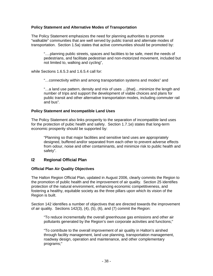#### **Policy Statement and Alternative Modes of Transportation**

The Policy Statement emphasizes the need for planning authorities to promote "walkable" communities that are well served by public transit and alternate modes of transportation. Section 1.5a) states that active communities should be promoted by:

"….planning public streets, spaces and facilities to be safe, meet the needs of pedestrians, and facilitate pedestrian and non-motorized movement, included but not limited to, walking and cycling",

while Sections 1.6.5.3 and 1.6.5.4 call for:

"…connectivity within and among transportation systems and modes" and

"…a land use pattern, density and mix of uses …{that}…minimize the length and number of trips and support the development of viable choices and plans for public transit and other alternative transportation modes, including commuter rail and bus".

#### **Policy Statement and Incompatible Land Uses**

The Policy Statement also links prosperity to the separation of incompatible land uses for the protection of pubic health and safety. Section 1.7.1e) states that long-term economic prosperity should be supported by:

"Planning so that major facilities and sensitive land uses are appropriately designed, buffered and/or separated from each other to prevent adverse effects from odour, noise and other contaminants, and minimize risk to public health and safety".

#### **I2 Regional Official Plan**

#### **Official Plan Air Quality Objectives**

The Halton Region Official Plan, updated in August 2006, clearly commits the Region to the promotion of public health and the improvement of air quality. Section 25 identifies protection of the natural environment, enhancing economic competitiveness, and fostering a healthy, equitable society as the three pillars upon which its vision of the Region is built.

Section 142 identifies a number of objectives that are directed towards the improvement of air quality. Sections 142(3), (4), (5), (6), and (7) commit the Region:

"To reduce incrementally the overall greenhouse gas emissions and other air pollutants generated by the Region's own corporate activities and functions;"

"To contribute to the overall improvement of air quality in Halton's airshed through facility management, land use planning, transportation management, roadway design, operation and maintenance, and other complementary programs;"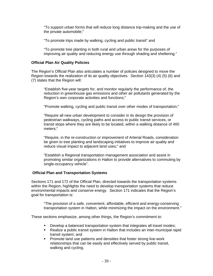"To support urban forms that will reduce long distance trip-making and the use of the private automobile;"

"To promote trips made by walking, cycling and public transit" and

"To promote tree planting in both rural and urban areas for the purposes of improving air quality and reducing energy use through shading and sheltering."

#### **Official Plan Air Quality Policies**

The Region's Official Plan also articulates a number of policies designed to move the Region towards the realization of its air quality objectives. Section 143(3) (4) (5) (6) and (7) states that the Region will:

"Establish five-year targets for, and monitor regularly the performance of, the reduction in greenhouse gas emissions and other air pollutants generated by the Region's own corporate activities and functions;"

"Promote walking, cycling and public transit over other modes of transportation;"

"Require all new urban development to consider in its design the provision of pedestrian walkways, cycling paths and access to public transit services, or transit stops where they are likely to be located, within a walking distance of 400 meters;"

"Require, in the re-construction or improvement of Arterial Roads, consideration be given to tree planting and landscaping initiatives to improve air quality and reduce visual impact to adjacent land uses;" and

"Establish a Regional transportation management association and assist in promoting similar organizations in Halton to provide alternatives to commuting by single-occupancy vehicle".

#### **Official Plan and Transportation Systems**

Sections 171 and 172 of the Official Plan, directed towards the transportation systems within the Region, highlights the need to develop transportation systems that reduce environmental impacts and conserve energy. Section 171 indicates that the Region's goal for transportation is:

"The provision of a safe, convenient, affordable, efficient and energy-conserving transportation system in Halton, while minimizing the impact on the environment."

These sections emphasize, among other things, the Region's commitment to:

- Develop a balanced transportation system that integrates all travel modes;<br>Realize a public transit system in Halton that includes an inter-municipal rai
- Realize a public transit system in Halton that includes an inter-municipal rapid transit system; and
- **Promote land use patterns and densities that foster strong live-work** relationships that can be easily and effectively served by public transit, walking and cycling.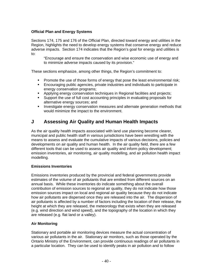#### **Official Plan and Energy Systems**

Sections 174, 175 and 176 of the Official Plan, directed toward energy and utilities in the Region, highlights the need to develop energy systems that conserve energy and reduce adverse impacts. Section 174 indicates that the Region's goal for energy and utilities is to:

"Encourage and ensure the conservation and wise economic use of energy and to minimize adverse impacts caused by its provision."

These sections emphasize, among other things, the Region's commitment to:

- **Promote the use of those forms of energy that pose the least environmental risk;**
- Encouraging public agencies, private industries and individuals to participate in energy conservation programs;
- Applying energy conservation techniques in Regional facilities and projects;
- Support the use of full cost accounting principles in evaluating proposals for alternative energy sources; and
- **Investigate energy conservation measures and alternate generation methods that** would minimize the impact to the environment.

## **J Assessing Air Quality and Human Health Impacts**

As the air quality health impacts associated with land use planning become clearer, municipal and public health staff in various jurisdictions have been wrestling with the means to assess and evaluate the cumulative impacts of various decisions, policies and developments on air quality and human health. In the air quality field, there are a few different tools that can be used to assess air quality and inform policy development; emission inventories, air monitoring, air quality modelling, and air pollution health impact modelling.

#### **Emissions Inventories**

Emissions inventories produced by the provincial and federal governments provide estimates of the volume of air pollutants that are emitted from different sources on an annual basis. While these inventories do indicate something about the overall contribution of emission sources to regional air quality, they do not indicate how those emission sources impact on local and regional air quality because they do not indicate how air pollutants are dispersed once they are released into the air. The dispersion of air pollutants is affected by a number of factors including the location of their release, the height at which they are released, the meteorology that exists when they are released (e.g. wind direction and wind speed), and the topography of the location in which they are released (e.g. flat land or a valley).

#### **Air Monitoring**

Stationary and portable air monitoring devices measure the actual concentration of various air pollutants in the air. Stationary air monitors, such as those operated by the Ontario Ministry of the Environment, can provide continuous readings of air pollutants in a particular location. They can be used to identify peaks in air pollution and to follow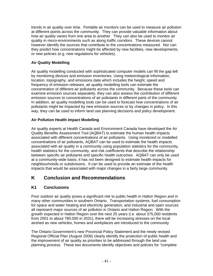trends in air quality over time. Portable air monitors can be used to measure air pollution at different points across the community. They can provide valuable information about how air quality varies from one area to another. They can also be used to monitor air quality in micro-environments such as along traffic corridors. These devices cannot however identify the sources that contribute to the concentrations measured. Nor can they predict how concentrations might be affected by new facilities, new developments, or new policies (e.g. new regulations for vehicles).

#### **Air Quality Modelling**

Air quality modelling conducted with sophisticated computer models can fill the gap left by monitoring devices and emission inventories. Using meteorological information, location, topography, and emissions data which includes the height, speed and frequency of emission releases, air quality modelling tools can estimate the concentration of different air pollutants across the community. Because these tools can examine emission sources separately, they can also assess the contribution of different emission sources to concentrations of air pollutants in different parts of the community. In addition, air quality modelling tools can be used to forecast how concentrations of air pollutants might be impacted by new emission sources or by changes in policy. In this way, they can be used to inform land use planning decisions and policy development.

#### **Air Pollution Health Impact Modelling**

Air quality experts at Health Canada and Environment Canada have developed the Air Quality Benefits Assessment Tool (AQBAT) to estimate the human health impacts associated with different concentrations of air pollutants. Using monitored or modelled concentrations of air pollutants, AQBAT can be used to estimate the health impacts associated with air quality in a community using population statistics for the community, health statistics for the community, and risk coefficients that describe the relationship between specific air pollutants and specific health outcomes. AQBAT can only be used at a community-wide basis; it has not been designed to estimate health impacts for neighbourhoods or subdivisions. It can be used to provide an estimate of the health impacts that would be associated with major changes in a fairly large community.

## **K Conclusion and Recommendations**

## **K1 Conclusions**

Poor outdoor air quality poses a significant risk to public health in Halton Region and in many other communities in southern Ontario. Transportation systems, fuel consumption for space and water heating and electricity generation, and industrial and open sources all represent major sources of air pollution in Ontario and Halton Region. With the growth expected in Halton Region over the next 25 years (i.e. about 375,000 residents from 2001 to about 780,000 in 2031), there will be increasing stresses on the local airshed as new vehicles, homes and workplaces are introduced to the community.

The Ontario Government's new Provincial Policy Statement and the newly revised Regional Official Plan (August 2006) clearly identify the protection of public health and the improvement of air quality as priorities to be addressed through the land use planning process. These two documents identify objectives and policies for "complete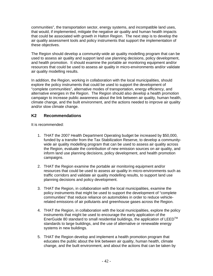communities", the transportation sector, energy systems, and incompatible land uses, that would, if implemented, mitigate the negative air quality and human health impacts that could be associated with growth in Halton Region. The next step is to develop the air quality assessment tools and policy instruments that support the implementation of these objectives.

The Region should develop a community-wide air quality modelling program that can be used to assess air quality and support land use planning decisions, policy development, and health promotion. It should examine the portable air monitoring equipment and/or resources that could be used to assess air quality in micro-environments and/or validate air quality modelling results.

In addition, the Region, working in collaboration with the local municipalities, should explore the policy instruments that could be used to support the development of "complete communities", alternative modes of transportation, energy efficiency, and alternative energies in the Region. The Region should also develop a health promotion campaign to increase public awareness about the link between air quality, human health, climate change, and the built environment, and the actions needed to improve air quality and/or slow climate change.

#### **K2 Recommendations**

It is recommended:

- 1. THAT the 2007 Health Department Operating budget be increased by \$50,000, funded by a transfer from the Tax Stabilization Reserve, to develop a communitywide air quality modelling program that can be used to assess air quality across the Region, evaluate the contribution of new emission sources on air quality, and inform land use planning decisions, policy development, and health promotion campaigns.
- 2. THAT the Region examine the portable air monitoring equipment and/or resources that could be used to assess air quality in micro-environments such as traffic corridors and validate air quality modelling results, to support land use planning decisions and policy development.
- 3. THAT the Region, in collaboration with the local municipalities, examine the policy instruments that might be used to support the development of "complete communities" that reduce reliance on automobiles in order to reduce vehiclerelated emissions of air pollutants and greenhouse gases across the Region.
- 4. THAT the Region, in collaboration with the local municipalities, explore the policy instruments that might be used to encourage the early application of the EnerGuide 80 standard to small residential buildings, the application of LEED<sup>™</sup> standards to large buildings, and the use of alternative or renewable energy systems in new buildings.
- 5. THAT the Region develop and implement a health promotion program that educates the public about the link between air quality, human health, climate change, and the built environment, and about the actions that can be taken by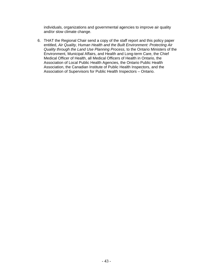individuals, organizations and governmental agencies to improve air quality and/or slow climate change.

6. THAT the Regional Chair send a copy of the staff report and this policy paper entitled, *Air Quality, Human Health and the Built Environment: Protecting Air Quality through the Land Use Planning Process,* to the Ontario Ministers of the Environment, Municipal Affairs, and Health and Long-term Care, the Chief Medical Officer of Health, all Medical Officers of Health in Ontario, the Association of Local Public Health Agencies, the Ontario Public Health Association, the Canadian Institute of Public Health Inspectors, and the Association of Supervisors for Public Health Inspectors – Ontario.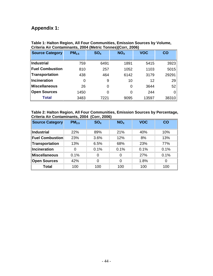# **Appendix 1:**

| <b>Source Category</b> | PM <sub>2.5</sub> | SO <sub>x</sub> | NO <sub>x</sub> | <b>VOC</b> | CO    |
|------------------------|-------------------|-----------------|-----------------|------------|-------|
|                        |                   |                 |                 |            |       |
| <b>Industrial</b>      | 759               | 6491            | 1891            | 5415       | 3923  |
| <b>Fuel Combustion</b> | 810               | 257             | 1052            | 1103       | 5015  |
| <b>Transportation</b>  | 438               | 464             | 6142            | 3179       | 29291 |
| <b>Incineration</b>    | 0                 | 9               | 10              | 12         | 29    |
| <b>Miscellaneous</b>   | 26                | 0               | 0               | 3644       | 52    |
| <b>Open Sources</b>    | 1450              | ი               | 0               | 244        |       |
| <b>Total</b>           | 3483              | 7221            | 9095            | 13597      | 38310 |

#### **Table 1: Halton Region, All Four Communities, Emission Sources by Volume, Criteria Air Contaminants, 2004 (Metric Tonnes)(Corr, 2006)**

#### **Table 2: Halton Region, All Four Communities, Emission Sources by Percentage, Criteria Air Contaminants, 2004 (Corr, 2006)**

| <b>Source Category</b> | PM <sub>2.5</sub> | SO <sub>x</sub> | NO <sub>x</sub> | <b>VOC</b> | CO   |
|------------------------|-------------------|-----------------|-----------------|------------|------|
| <b>Industrial</b>      | 22%               | 89%             | 21%             | 40%        | 10%  |
| <b>Fuel Combustion</b> | 23%               | 3.6%            | 12%             | 8%         | 13%  |
| <b>Transportation</b>  | 13%               | 6.5%            | 68%             | 23%        | 77%  |
| <b>Incineration</b>    | 0                 | 0.1%            | 0.1%            | 0.1%       | 0.1% |
| <b>Miscellaneous</b>   | 0.1%              | 0               | 0               | 27%        | 0.1% |
| <b>Open Sources</b>    | 42%               | 0               | $\Omega$        | 1.8%       | 0    |
| <b>Total</b>           | 100               | 100             | 100             | 100        | 100  |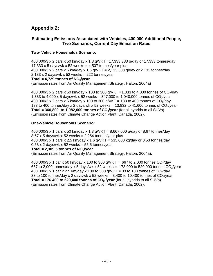## **Appendix 2:**

#### **Estimating Emissions Associated with Vehicles, 400,000 Additional People, Two Scenarios, Current Day Emission Rates**

#### **Two- Vehicle Households Scenario:**

400,000/3 x 2 cars x 50 km/day x 1.3 g/VKT =17,333,333 g/day or 17.333 tonnes/day 17.333 x 5 days/wk x 52 weeks =  $4,507$  tonnes/year plus 400,000/3 x 2 cars x 5 km/day x 1.6 g/VKT = 2,133,333 g/day or 2.133 tonnes/day  $2.133 \times 2$  days/wk x 52 weeks = 222 tonnes/year Total = 4.729 tonnes of NO<sub>x</sub>/year

(Emission rates from Air Quality Management Strategy, Halton, 2004a)

400,000/3 x 2 cars x 50 km/day x 100 to 300 g/VKT = 1,333 to 4,000 tonnes of  $CO_2$ /day 1,333 to 4,000 x 5 days/wk x 52 weeks = 347,000 to 1,040,000 tonnes of  $CO_2$ /vear 400,000/3 x 2 cars x 5 km/day x 100 to 300 g/VKT = 133 to 400 tonnes of  $CO<sub>2</sub>/day$ 133 to 400 tonnes/day x 2 days/wk x 52 weeks = 13,832 to 41,600 tonnes of  $CO<sub>2</sub>/year$ **Total = 360,800 to 1,082,000 tonnes of**  $CO<sub>2</sub>/year$  **(for all hybrids to all SUVs)** (Emission rates from Climate Change Action Plant, Canada, 2002).

#### **One-Vehicle Households Scenario:**

400,000/3 x 1 cars x 50 km/day x 1.3 g/VKT = 8,667,000 g/day or 8.67 tonnes/day  $8.67$  x 5 days/wk x 52 weeks = 2,254 tonnes/year plus 400,000/3 x 1 cars x 2.5 km/day x 1.6 g/VKT = 533,000 kg/day or 0.53 tonnes/day  $0.53$  x 2 days/wk x 52 weeks = 55.5 tonnes/year

#### **Total = 2,309.5 tonnes of NOx/year**

(Emission rates from Air Quality Management Strategy, Halton, 2004a).

400,000/3 x 1 car x 50 km/day x 100 to 300 g/VKT = 667 to 2,000 tonnes  $CO<sub>2</sub>$ /day 667 to 2,000 tonnes/day x 5 days/wk x 52 weeks = 173,000 to 520,000 tonnes  $CO<sub>2</sub>/year$ 400,000/3 x 1 car x 2.5 km/day x 100 to 300 g/VKT = 33 to 100 tonnes of  $CO_2$ /day 33 to 100 tonnes/day x 2 days/wk x 52 weeks = 3,400 to 10,400 tonnes of  $CO<sub>2</sub>/year$ **Total = 176,400 to 520,400 tonnes of**  $CO<sub>2</sub>$ **/year** (for all hybrids to all SUVs) (Emission rates from Climate Change Action Plant, Canada, 2002).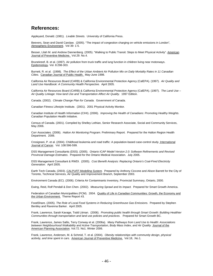## **References:**

Appleyard, Donald. (1981). *Livable Streets.* University of California Press.

Beevers, Sean and David Carslaw. (2005). "The impact of congestion charging on vehicle emissions in London", Atmospheric Environment. Vol 39: 1-5.

Besser, Lilah M. and Andrew Dannenberg. (2005). "Walking to Public Transit: Steps to Meet Physical Activity". American Journal of Preventive Medicine. Vol.29. No.4.

Brunekreef, B. et al. (1997). Air pollution from truck traffic and lung function in children living near motorways. Epidemiology. Vol. 8:298-303.

Burnett, R. et al. (1998). *The Effect of the Urban Ambient Air Pollution Mix on Daily Mortality Rates in 11 Canadian Cities.* Canadian Journal of Public Health. May-June 1998.

California Air Resources Board (CARB) & California Environmental Protection Agency (CalEPA). (1997). *Air Quality and Land Use Handbook: A Community Health Perspective.* April 2005.

California Air Resources Board (CARB) & California Environmental Protection Agency (CalEPA). (1997). *The Land Use – Air Quality Linkage: How land Use and Transportation Affect Air Quality.* 1997 Edition.

Canada. (2002). *Climate Change Plan for Canada.* Government of Canada.

Canadian Fitness Lifestyle Institute. (2001). 2001 Physical Activity Monitor.

Canadian Institute of Health Information (CIHI). (2006). *Improving the Health of Canadians: Promoting Healthy Weights.*  Canadian Population Health Initiative.

Census of Canada. (2001). Compiled by Shelley Lothian, Senior Research Associate, Social and Community Services, May 2006.

Corr Associates. (2006). *Halton Air Monitoring Program.* Preliminary Report*.* Prepared for the Halton Region Health Department. 2006.

Crosignani, P. et al. (2004). Childhood leukemia and road traffic: A population-based case-control study. International Journal of Cancer. Vol. 108:596-599.

DSS Management Consultants (DSS). (2005). *Ontario ICAP Model Version 2.0: Software Refinements and Revised Provincial Damage Estimates*. Prepared for the Ontario Medical Association. July 2005.

DSS Management Consultant & RWDI. (2005). *Cost Benefit Analysis: Replacing Ontario's Coal-Fired Electricity Generation.* April 2005.

Earth Tech Canada. (2003). *CALPUFF Modelling System.* Prepared by Anthony Ciccone and Alison Barrett for the City of Toronto, Technical Services, Air Quality and Improvement Branch, September 2003.

Environment Canada (EC). (2006). Criteria Air Contaminants Inventory, Provincial Summary, Ontario, 2000.

Ewing, Reid, Rolf Pendall & Don Chen. (2002). *Measuring Sprawl and its Impact.* Prepared for Smart Growth America.

Federation of Canadian Municipalities (FCM). 2004. Quality of Life in Canadian Communities: Growth, the Economy and the Urban Environment. Theme Report #3.

FoodShare. (2005). *The Role of Local Food Systems in Reducing Greenhouse Gas Emissions.* Prepared by Stephen Bentley and Ravenna Barker. April 2005.

Frank, Lawrence, Sarah Kavage, Todd Litman. (2006). *Promoting public health through Smart Growth: Building Healthier Communities through transportation and land use policies and practices.* Prepared for Smart Growth BC.

Frank, Lawrence, James Sallis, Terry Conway et al. (2006a). *Many Pathways from Land Use to Health: Associations*  between Neighbourhood Walkability and Active Transportation, Body Mass Index, and Air Quality. Journal of the American Planning Association. Vol.72. No1. Winter 2006.

Frank, Lawrence, Andersen, M. & Schmid, T. et al. (2004). *Obesity relationships with community design, physical acitivity, and time spent in cars.* American Journal of Preventive Medicine. Vol.18, .No.1.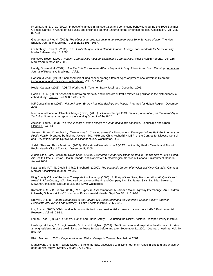Friedman, M. S. et al. (2001). "Impact of changes in transportation and commuting behaviours during the 1996 Summer Olympic Games in Atlanta on air quality and childhood asthma", Journal of the American Medical Association. Vol. 285: 897-905.

Gauderman WJ, et al. (2004). *The effect of air pollution on lung development from 10 to 18 years of age.* The New England Journal of Medicine. Vol 351(11): 1057-1067.

Gwillimbury, Town of. (2006). *East Gwillimbury – First in Canada to adopt Energy Star Standards for New Housing.*  Media Release, May 15, 2006.

Hancock, Trevor. (2000). *Healthy Communities must be Sustainable Communities.* Public Health Reports. Vol. 115. March/April & May/Jun 2000.

Handy, Susan et al. (2002). *How the Built Environment Affects Physical Activity: Views from Urban Planning.* American Journal of Preventive Medicine. *Vol 23.* 

Hansen, J. et al. (1998). "Increased risk of lung cancer among different types of professional drivers in Denmark", Occupational and Environmental Medicine*.* Vol. 55: 115-118.

Health Canada. (2005). AQBAT Workshop in Toronto. Barry Jessiman. December 2005.

Hoek, G. et al. (2002). "Association between mortality and indicators of traffic-related air pollution in the Netherlands: a cohort study". Lancet. Vol. 360: 1203-1209.

ICF Consulting In. (2006). *Halton Region Energy Planning Background Paper.* Prepared for Halton Region. December 2006.

International Panel on Climate Change (IPCC). (2001). *Climate Change 2001: Impacts, Adaptation, and Vulnerability – Technical Summary.* A report of the Working Group II of the IPCC.

Jackson, Laura. (2003). The Relationship of urban design to human health and condition. Landscape and Urban Planning. Vol. 64.

Jackson, R. and C. Kochtitzky. (Date unclear). *Creating a Healthy Environment: The Impact of the Built Environment on Public Health.* Prepared by Richard Jackson, MD, MPH and Chris Kochtitizky, MSP, of the Centres for Disease Control and Prevention, for the Sprawl Watch Clearinghouse, Washington, D.C.

Judek, Stan and Barry Jessiman. (2005). Educational Workshop on AQBAT provided by Health Canada and Toronto Public Health. City of Toronto. December 5, 2005.

Judek, Stan, Barry Jessiman, David Stieb. (2004). *Estimated Number of Excess Deaths in Canada Due to Air Pollution*. Air Health Effects Division, Health Canada, and Robert Vet, Meteorological Service of Canada, Environment Canada. August 2004.

Katzmarzyk, P.T., N. Gledhill, & R.J. Shephard. (2000). *The economic burden of physical activity in Canada.* Canadian Medical Association Journal. Vol.163.

King County Office of Regional Transportation Planning. (2005). *A Study of Land Use, Transportation, Air Quality and Health in King County, WA.* Prepared by Lawrence Frank, and Company Inc., Dr. James Salis, Dr. Brian Saelens, McCann Consulting, GeoStats LLc, and Kevin Washbrook.

Korenstein, S. & B. Piazza. (2002). "An Exposure Assessment of PM<sub>10</sub> from a Major Highway Interchange: Are Children in Nearby Schools at Risk?", Journal of Environmental Health. Sept, Vol.54. No.2:9-20.

Krewski, D. et al. (2000). *Reanalysis of the Harvard Six Cities Study and the American Cancer Society Study of Particulate Air Pollution and Mortality*. Health Effects Institute. July 2000.

Lin, S. et al. (2002). "Childhood asthma hospitalization and residential exposure to state route traffic", Environmental Research. Vol. 88: 73-81.

Litman, Todd. (2005). "Terrorism, Transit and Public Safety – Evaluating the Risks". Victoria Transport Policy Institute.

Lwebuga-Mukasa, J. S., Ayirookuzhi, S. J., and A. Hyland. (2003). "Traffic volumes and respiratory health care utilization among residents in close proximity to the Peace Bridge before and after September 11, 2001", Journal of Asthma. Vol. 40: 855-864.

Klein, Manfred. (2001). *Cogeneration and District Energy in Canada.* March-April 2001.

Maheswaran, R., and P. Elliott. (2003). "Stroke mortality associated with living near main roads in England and Wales: A geographical study". Stroke. Vol. 34: 2776-2780.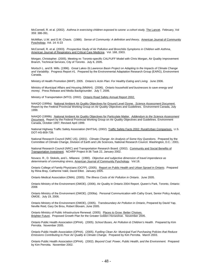McConnell, R. et al. (2002). *Asthma in exercising children exposed to ozone: a cohort study,* The Lancet. February, Vol 359: 386-391.

McMillan, U.W. and D.M. Chavis. (1986). *Sense of Community: A definition and theory*, American Journal of Community Pyschology. Vol. 14: 6-23

McConnell, R. et al. (2003). *Prospective Study of Air Pollution and Bronchitis Symptoms in Children with Asthma*, American Journal of Respiratory and Critical Care Medicine. Vol. 168, 2003.

Morgan, Christopher. (2005). Meeting re: Toronto-specific CALPUFF Model with Chris Morgan, Air Quality Improvement Branch, Technical Services, City of Toronto. July 6, 2005.

Mortsch L. and B. Mills. (1996). *Great Lakes-St.Lawrence Basin Project on Adapting to the Impacts of Climate Change and Variability.* Progress Report #1. Prepared by the Environmental Adaptation Research Group (EARG), Environment Canada.

Ministry of Health Promotion (MHP). 2005. *Ontario's Actin Plan: For Healthy Eating and Living.* June 2006.

Ministry of Municipal Affairs and Housing (MMAH). (2006). *Ontario household and businesses to save energy and money.* Press Release and Media Backgrounder. July 7, 2006.

Ministry of Transportation (MTO). (2002). Ontario Road Safety Annual Report 2002.

NAAQO (1999a). National Ambient Air Quality Objectives for Ground Level Ozone*. Science Assessment Document*. Report by the Federal Provincial Working Group on Air Quality Objectives and Guidelines. Environment Canada, July 1999.

NAAQO (1999b). National Ambient Air Quality Objectives for Particulate Matter*. Addendum to the Science Assessment Document*. Report by the Federal Provincial Working Group on Air Quality Objectives and Guidelines. Environment Canada, October 1997; Revised April 1999.

National Highway Traffic Safety Association (NHTSA). (2002). Traffic Safety Facts 2002: Rural/Urban Comparison. U.S. DOT-HS-809-739.

National Research Council (NRC US). (2001). *Climate Change: An Analysis of Some Key Questions.* Prepared by the Committee of Climate Change, Division of Earth and Life Sciences, National Research Council. Washington, D.C.: 2001.

National Research Council (NRC) and Transportation Research Board. (2002). Community and Social Benefits of Transportation Investment. NCHRP Project 8-36 Task 22, January 2002.

Novaco. R., D. Stokols, and L. Milanesi. (1990). *Objective and subjective dimension of travel impendance as determinants of commuting stress,* American Journal of Community Pyschology*.* Vol.18.

Ontario College of Family Physicians (OCFP). (2005). Report on Public Health and Urban Sprawl in Ontario. Prepared by Riina Bray, Catherine Vakil, David Elliot. January 2005.

Ontario Medical Association (OMA). (2005). *The Illness Costs of Air Pollution in Ontario*. June 2005.

Ontario Ministry of the Environment (OMOE). (2006). Air Quality in Ontario 2004 Report. Queen's Park, Toronto, Ontario: 2006

Ontario Ministry of the Environment (OMOE). (2006a). Personal Communication with Cathy Grant, Senior Policy Analyst, OMOE. July 19, 2006.

Ontario Ministry of the Environment (OMOE), (2005). *Transboundary Air Pollution in Ontario*, Prepared by David Yap, Neville Reid, Gary De Brou, Robert Bloxam, June 2005.

Ontario Ministry of Public Infrastructure Renewal. (2005). Places to Grow: Better Choises. Brighter Future. Proposed Growth Plan for the Greater Golden Horseshoe. November 2005.

Ontario Public Health Association (OPHA). (2005). *School Buses, Air Pollution & Children's Health.* Prepared by Kim Perrotta. November 2005.

Ontario Public Health Association (OPHA). (2005). *Fuelling Clean Air: Municipal Fuel Purchasing Policies that Reduce Emissions Contributing to Poor Air Quality & Climate Change.* Prepared by Kim Perrotta. March 2003.

Ontario Public Health Association (OPHA). (2002). *Beyond Coal: Power, Public Health, and the Environment.* Prepared by Kim Perrotta. November 2002.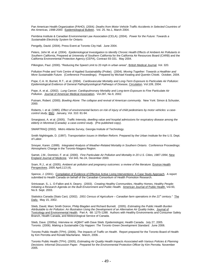Pan American Health Organization (PAHO). (2004*). Deaths from Motor Vehicle Traffic Accidents in Selected Countries of the Americas, 1998-2000*. Epidemiological Bulletin. Vol. 25. No.1, March 2004.

Pembina Institute & Canadian Environmental Law Association (CELA). (2004). *Power for the Future: Towards a Sustainable Electricity System for Ontario*.

Pengelly, David. (2004). Press Event at Toronto City Hall. June 2004.

Peters, John M. et al. (2004). *Epidemiological Investigation to Identify Chronic Health Effects of Ambient Air Pollutants in Southern California*. Prepared at University of Southern California for the California Air Resources Board (CARB) and the California Environmental Protection Agency (CEPA), Contract 93-331. May 2004.

Pilkington, Paul. (2000). "Reducing the Speed Limit to 20 mph in urban areas", British Medical Journal. Vol. 320.

Pollution Probe and York Centre of Applied Sustainability (Probe). (2004). *Moving Together: Towards a Healthier and More Sustainable Future.* (Conference Proceedings). Prepared by Michael Keating and Quentin Chiotti. October, 2004.

Pope, C.A. III, Burnet, R.T., et al. (2004). *Cardiovascular Mortality and Long-Term Exposure to Particulate Air Pollution: Epidemiological Evidence of General Pathophysiological Pathways of Disease*, Circulation. Vol.109, 2004.

Pope, A. et al., (2002). *Lung Cancer, Cardiopulmonary Mortality and Long-term Exposure to Fine Particulate Air Pollution*. Journal of American Medical Association. Vol.287, No.9, 2002.

Putnam, Robert. (2000). *Bowling Alone: The collapse and revival of American community.* New York: Simon & Schuster, 2000.

Roberts, I. et al. (1995). *Effect of environmental factors on risk of injury of child pedestrians by motor vehicles: a casecontrol study*, BMJ. January, Vol. 310: 81-94.

Smargiassi, A. et al. (2005). *Traffic Intensity, dwelling value and hospital admissions for respiratory disease among the elderly in Montreal (Canada): a case-control study*. (Pre-published copy).

SMARTRAQ (2002). *Metro Atlanta Survey,* Georgia Insitute of Technology.

Smith Nightingale, D. (1997). *Transportation Issues in Welfare Reform.* Prepared by the Urban Institute for the U.S. Dept. of Labor.

Smoyer, Karen. (1999). *Integrated Analysis of Weather-Related Mortality in Southern Ontario.* Conference Proceedings: Atmospheric Change in the Toronto-Niagara Region.

Samet, J.M., Dominici, F. et al. (2000). *Fine Particulate Air Pollution and Mortality in 20 U.S. Cities, 1987-1994*, New England Journal of Medicine. Vol 343, No.24, December 2000.

Sram, R.J., et al. (2005). *Ambient air pollution and pregnancy outcomes: a review of the literature.* Environ Health Perspectives. 2005 April,113 (4).

Spence, J. (2001). Compilation of Evidence of Effective Active Living Interventions: A Case Study Approach. A report submitted to Health Canada on behalf of the Canadian Consortium of Health Promotion Research.

Srinivasan. S., L. O-Fallon and A. Dearry. (2003). *Creating Healthy Communities, Healthy Homes, Healthy People:*  Initiating a Research Agenda on the Built Enviornment and Public Health. American Journal of Public Health. Vol.93, No.9. Sept. 2003.

Statistics Canada (Stats Can). (2002). *2001 Census of Agriculture – Canadian farm operations in the 21st century."* The Daily. May 15, 2002.

Stieb, David, Marc Smith Doiron, Philip Blagden and Richard Burnett. (2005). *Estimating the Public Health Burden Attributable to Air Pollution: An Illustration Using the Development of an Alternative Air Quality Index*, Journal of Toxicology and Environmental Health. Part A. 68: 1275-1288. Authors with Healthy Environments and Consumer Safety Branch, Health Canada, and Meteorological Service of Canada.

Stieb, Dave. (2005a). Interview re: AQBAT with Dave Stieb. Epidemiologist, Health Canada. July 27, 2005. Toronto. (2006). *Making a Sustainable City Happen: The Toronto Green Development Standard.* June 2006.

Toronto Public Health (TPH). (2006), *The Impacts of Traffic on Health*. Report prepared for the Toronto Board of Health by Kim Perrotta and Ronald Macfarlane. March, 2006. .

Toronto Public Health (TPH). (2005), *Estimating Air Quality Health Impacts Associated with Various Policies & Planning Decisions: Informal Discussion Paper. Prepared for the Environmental Protection Officer by Kim Perrotta.* November 2005.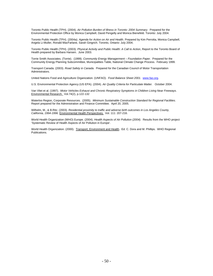Toronto Public Health (TPH). (2004). *Air Pollution Burden of Illness in Toronto: 2004 Summary*. Prepared for the Environmental Protection Office by Monica Campbell, David Pengelly and Monica Bienefeld. Toronto: July 2004.

Toronto Public Health (TPH). (2004a). *Agenda for Action on Air and Health.* Prepared by Kim Perrotta, Monica Campbell, Angela Li-Muller, Ronald MacFarlane, Sarah Gingrich. Toronto, Ontario: July 2004;

Toronto Public Health (TPH). (2003). *Physical Activity and Public Health: A Call to Action*, Report to the Toronto Board of Health prepared by Barbara Hansen. June 2003.

Torrie Smith Associates. (Torrie). (1999). *Community Energy Managerment – Foundation Paper.* Prepared for the Community Energy Planning Subcommittee, Municipalities Table, National Climate Change Process. February 1999.

Transport Canada. (2003). *Road Safety in Canada.* Prepared for the Canadian Council of Motor Transportation Administrators.

United Nations Food and Agriculture Organization. (UNFAO). *Food Balance Sheet 2001.* www.fao.org.

U.S. Environmental Protection Agency (US EPA). (2004). *Air Quality Criteria for Particulate Matter.* October 2004.

Van Vliet et al. (1997). *Motor Vehicles Exhaust and Chronic Respiratory Symptoms in Children Living Near Freeways.*  Environmental Research. Vol.74(2), p.122-132

Waterloo Region, Corporate Resources. (2005). *Minimum Sustainable Construction Standard for Regional Facilities.*  Report prepared for the Administration and Finance Committee. April 20, 2005.

Wilhelm, M., & B.Ritz. (2003). *Residential proximity to traffic and adverse birth outcomes in Los Angeles County, California, 1994-1996.* Environmental Health Perspectives. Vol. 111: 207-216.

World Health Organization (WHO) Europe. (2004). *Health Aspects of Air Pollution (2004).* Results from the WHO project 'Systematic Review of Health Aspects of Air Pollution in Europe'.

World Health Organization. (2000). Transport, Environment and Health. Ed. C. Dora and M. Phillips. WHO Regional Publications.